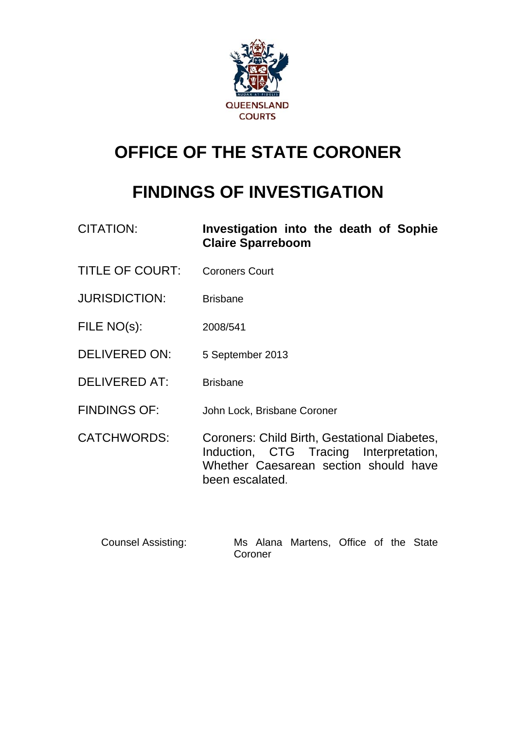

# **OFFICE OF THE STATE CORONER**

# **FINDINGS OF INVESTIGATION**

| <b>CITATION:</b>     | Investigation into the death of Sophie<br><b>Claire Sparreboom</b>                                                                                 |
|----------------------|----------------------------------------------------------------------------------------------------------------------------------------------------|
| TITLE OF COURT:      | <b>Coroners Court</b>                                                                                                                              |
| <b>JURISDICTION:</b> | <b>Brisbane</b>                                                                                                                                    |
| FILE NO(s):          | 2008/541                                                                                                                                           |
| <b>DELIVERED ON:</b> | 5 September 2013                                                                                                                                   |
| <b>DELIVERED AT:</b> | <b>Brisbane</b>                                                                                                                                    |
| <b>FINDINGS OF:</b>  | John Lock, Brisbane Coroner                                                                                                                        |
| <b>CATCHWORDS:</b>   | Coroners: Child Birth, Gestational Diabetes,<br>Induction, CTG Tracing Interpretation,<br>Whether Caesarean section should have<br>been escalated. |

 Counsel Assisting: Ms Alana Martens, Office of the State Coroner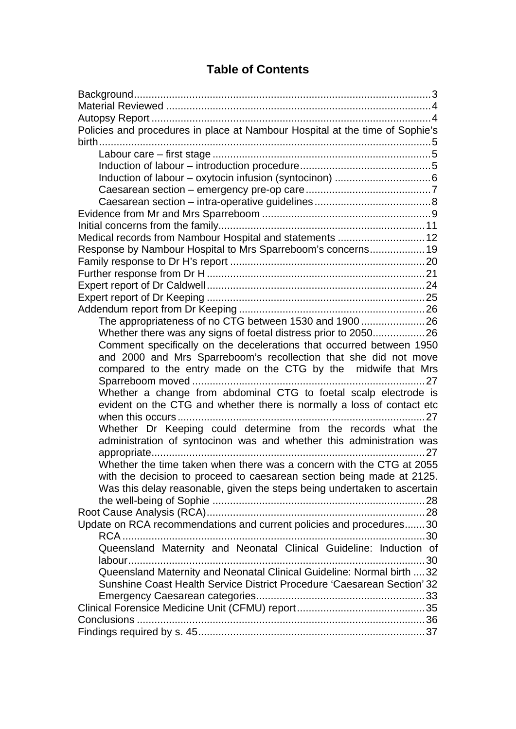## **Table of Contents**

| Policies and procedures in place at Nambour Hospital at the time of Sophie's |
|------------------------------------------------------------------------------|
|                                                                              |
|                                                                              |
|                                                                              |
|                                                                              |
|                                                                              |
|                                                                              |
|                                                                              |
|                                                                              |
| Medical records from Nambour Hospital and statements  12                     |
| Response by Nambour Hospital to Mrs Sparreboom's concerns 19                 |
|                                                                              |
|                                                                              |
|                                                                              |
|                                                                              |
|                                                                              |
| The appropriateness of no CTG between 1530 and 190026                        |
| Whether there was any signs of foetal distress prior to 205026               |
| Comment specifically on the decelerations that occurred between 1950         |
| and 2000 and Mrs Sparreboom's recollection that she did not move             |
| compared to the entry made on the CTG by the midwife that Mrs                |
| 27                                                                           |
| Whether a change from abdominal CTG to foetal scalp electrode is             |
| evident on the CTG and whether there is normally a loss of contact etc       |
|                                                                              |
| Whether Dr Keeping could determine from the records what the                 |
| administration of syntocinon was and whether this administration was         |
|                                                                              |
| Whether the time taken when there was a concern with the CTG at 2055         |
| with the decision to proceed to caesarean section being made at 2125.        |
|                                                                              |
| Was this delay reasonable, given the steps being undertaken to ascertain     |
|                                                                              |
|                                                                              |
| Update on RCA recommendations and current policies and procedures30          |
|                                                                              |
|                                                                              |
| Queensland Maternity and Neonatal Clinical Guideline: Induction of           |
| 30                                                                           |
| Queensland Maternity and Neonatal Clinical Guideline: Normal birth  32       |
| Sunshine Coast Health Service District Procedure 'Caesarean Section' 32      |
|                                                                              |
|                                                                              |
|                                                                              |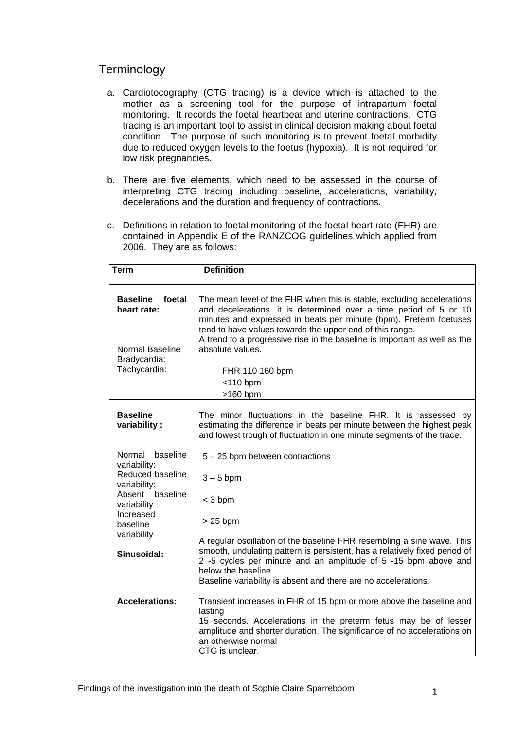## **Terminology**

- a. Cardiotocography (CTG tracing) is a device which is attached to the mother as a screening tool for the purpose of intrapartum foetal monitoring. It records the foetal heartbeat and uterine contractions. CTG tracing is an important tool to assist in clinical decision making about foetal condition. The purpose of such monitoring is to prevent foetal morbidity due to reduced oxygen levels to the foetus (hypoxia). It is not required for low risk pregnancies.
- b. There are five elements, which need to be assessed in the course of interpreting CTG tracing including baseline, accelerations, variability, decelerations and the duration and frequency of contractions.
- c. Definitions in relation to foetal monitoring of the foetal heart rate (FHR) are contained in Appendix E of the RANZCOG guidelines which applied from 2006. They are as follows:

| <b>Term</b>                                                                                 | <b>Definition</b>                                                                                                                                                                                                                                                                                                                                                                                                           |
|---------------------------------------------------------------------------------------------|-----------------------------------------------------------------------------------------------------------------------------------------------------------------------------------------------------------------------------------------------------------------------------------------------------------------------------------------------------------------------------------------------------------------------------|
| <b>Baseline</b><br>foetal<br>heart rate:<br>Normal Baseline<br>Bradycardia:<br>Tachycardia: | The mean level of the FHR when this is stable, excluding accelerations<br>and decelerations. it is determined over a time period of 5 or 10<br>minutes and expressed in beats per minute (bpm). Preterm foetuses<br>tend to have values towards the upper end of this range.<br>A trend to a progressive rise in the baseline is important as well as the<br>absolute values.<br>FHR 110 160 bpm<br>$<$ 110 bpm<br>>160 bpm |
|                                                                                             |                                                                                                                                                                                                                                                                                                                                                                                                                             |
| <b>Baseline</b><br>variability:                                                             | The minor fluctuations in the baseline FHR. It is assessed by<br>estimating the difference in beats per minute between the highest peak<br>and lowest trough of fluctuation in one minute segments of the trace.                                                                                                                                                                                                            |
| Normal<br>baseline<br>variability:                                                          | $5 - 25$ bpm between contractions                                                                                                                                                                                                                                                                                                                                                                                           |
| Reduced baseline<br>variability:                                                            | $3 - 5$ bpm                                                                                                                                                                                                                                                                                                                                                                                                                 |
| Absent<br>baseline<br>variability                                                           | $<$ 3 bpm                                                                                                                                                                                                                                                                                                                                                                                                                   |
| Increased<br>baseline                                                                       | $>25$ bpm                                                                                                                                                                                                                                                                                                                                                                                                                   |
| variability<br>Sinusoidal:                                                                  | A regular oscillation of the baseline FHR resembling a sine wave. This<br>smooth, undulating pattern is persistent, has a relatively fixed period of<br>2 -5 cycles per minute and an amplitude of 5 -15 bpm above and<br>below the baseline.<br>Baseline variability is absent and there are no accelerations.                                                                                                             |
|                                                                                             |                                                                                                                                                                                                                                                                                                                                                                                                                             |
| <b>Accelerations:</b>                                                                       | Transient increases in FHR of 15 bpm or more above the baseline and                                                                                                                                                                                                                                                                                                                                                         |
|                                                                                             | lasting<br>15 seconds. Accelerations in the preterm fetus may be of lesser                                                                                                                                                                                                                                                                                                                                                  |
|                                                                                             | amplitude and shorter duration. The significance of no accelerations on                                                                                                                                                                                                                                                                                                                                                     |
|                                                                                             | an otherwise normal                                                                                                                                                                                                                                                                                                                                                                                                         |
|                                                                                             | CTG is unclear.                                                                                                                                                                                                                                                                                                                                                                                                             |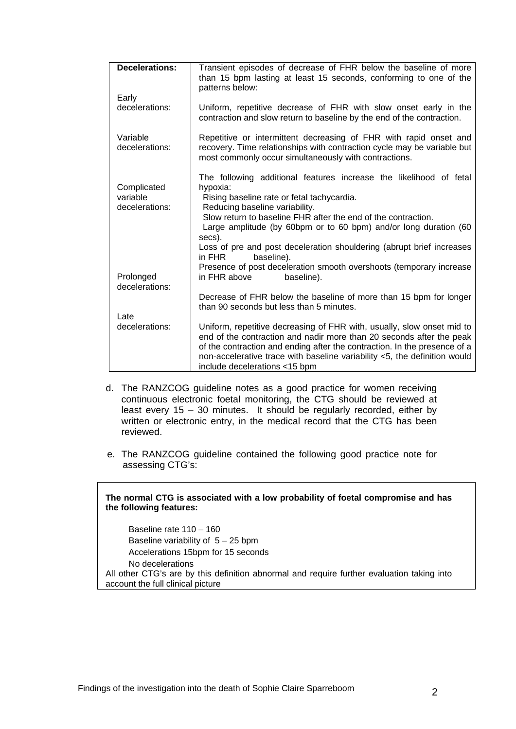| <b>Decelerations:</b>                     | Transient episodes of decrease of FHR below the baseline of more<br>than 15 bpm lasting at least 15 seconds, conforming to one of the<br>patterns below:                                                                                                                                                                                                                                                       |
|-------------------------------------------|----------------------------------------------------------------------------------------------------------------------------------------------------------------------------------------------------------------------------------------------------------------------------------------------------------------------------------------------------------------------------------------------------------------|
| Early<br>decelerations:                   | Uniform, repetitive decrease of FHR with slow onset early in the<br>contraction and slow return to baseline by the end of the contraction.                                                                                                                                                                                                                                                                     |
| Variable<br>decelerations:                | Repetitive or intermittent decreasing of FHR with rapid onset and<br>recovery. Time relationships with contraction cycle may be variable but<br>most commonly occur simultaneously with contractions.                                                                                                                                                                                                          |
| Complicated<br>variable<br>decelerations: | The following additional features increase the likelihood of fetal<br>hypoxia:<br>Rising baseline rate or fetal tachycardia.<br>Reducing baseline variability.<br>Slow return to baseline FHR after the end of the contraction.<br>Large amplitude (by 60bpm or to 60 bpm) and/or long duration (60<br>secs).<br>Loss of pre and post deceleration shouldering (abrupt brief increases<br>in FHR<br>baseline). |
| Prolonged<br>decelerations:               | Presence of post deceleration smooth overshoots (temporary increase<br>in FHR above<br>baseline).                                                                                                                                                                                                                                                                                                              |
|                                           | Decrease of FHR below the baseline of more than 15 bpm for longer<br>than 90 seconds but less than 5 minutes.                                                                                                                                                                                                                                                                                                  |
| Late<br>decelerations:                    | Uniform, repetitive decreasing of FHR with, usually, slow onset mid to<br>end of the contraction and nadir more than 20 seconds after the peak<br>of the contraction and ending after the contraction. In the presence of a<br>non-accelerative trace with baseline variability <5, the definition would<br>include decelerations <15 bpm                                                                      |

- d. The RANZCOG guideline notes as a good practice for women receiving continuous electronic foetal monitoring, the CTG should be reviewed at least every 15 – 30 minutes. It should be regularly recorded, either by written or electronic entry, in the medical record that the CTG has been reviewed.
- e. The RANZCOG guideline contained the following good practice note for assessing CTG's:

#### **The normal CTG is associated with a low probability of foetal compromise and has the following features:**

Baseline rate 110 – 160 Baseline variability of  $5 - 25$  bpm Accelerations 15bpm for 15 seconds No decelerations All other CTG's are by this definition abnormal and require further evaluation taking into account the full clinical picture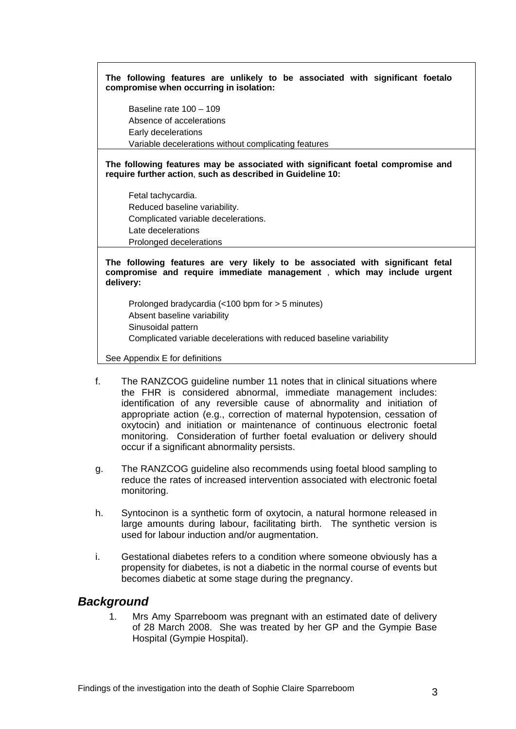**The following features are unlikely to be associated with significant foetalo compromise when occurring in isolation:** 

Baseline rate 100 – 109 Absence of accelerations Early decelerations Variable decelerations without complicating features

**The following features may be associated with significant foetal compromise and require further action**, **such as described in Guideline 10:** 

Fetal tachycardia. Reduced baseline variability. Complicated variable decelerations. Late decelerations Prolonged decelerations

**The following features are very likely to be associated with significant fetal compromise and require immediate management** , **which may include urgent delivery:** 

Prolonged bradycardia (<100 bpm for > 5 minutes) Absent baseline variability Sinusoidal pattern Complicated variable decelerations with reduced baseline variability

See Appendix E for definitions

- f. The RANZCOG guideline number 11 notes that in clinical situations where the FHR is considered abnormal, immediate management includes: identification of any reversible cause of abnormality and initiation of appropriate action (e.g., correction of maternal hypotension, cessation of oxytocin) and initiation or maintenance of continuous electronic foetal monitoring. Consideration of further foetal evaluation or delivery should occur if a significant abnormality persists.
- g. The RANZCOG guideline also recommends using foetal blood sampling to reduce the rates of increased intervention associated with electronic foetal monitoring.
- h. Syntocinon is a synthetic form of oxytocin, a natural hormone released in large amounts during labour, facilitating birth. The synthetic version is used for labour induction and/or augmentation.
- i. Gestational diabetes refers to a condition where someone obviously has a propensity for diabetes, is not a diabetic in the normal course of events but becomes diabetic at some stage during the pregnancy.

## <span id="page-4-0"></span>*Background*

1. Mrs Amy Sparreboom was pregnant with an estimated date of delivery of 28 March 2008. She was treated by her GP and the Gympie Base Hospital (Gympie Hospital).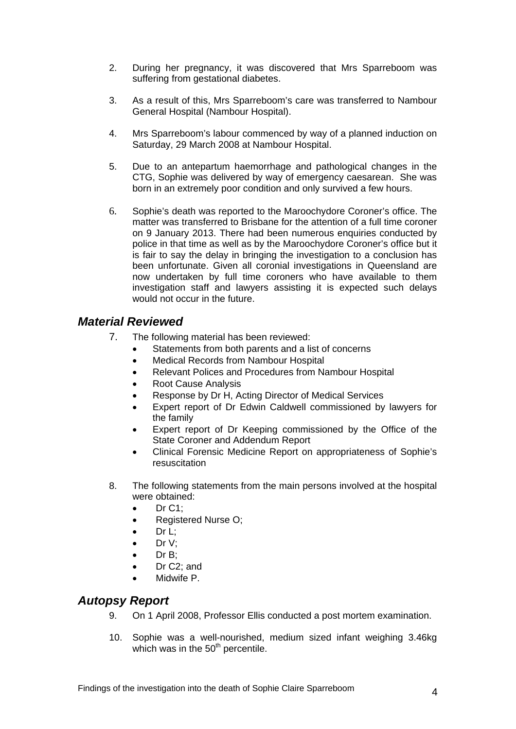- 2. During her pregnancy, it was discovered that Mrs Sparreboom was suffering from gestational diabetes.
- 3. As a result of this, Mrs Sparreboom's care was transferred to Nambour General Hospital (Nambour Hospital).
- 4. Mrs Sparreboom's labour commenced by way of a planned induction on Saturday, 29 March 2008 at Nambour Hospital.
- 5. Due to an antepartum haemorrhage and pathological changes in the CTG, Sophie was delivered by way of emergency caesarean. She was born in an extremely poor condition and only survived a few hours.
- 6. Sophie's death was reported to the Maroochydore Coroner's office. The matter was transferred to Brisbane for the attention of a full time coroner on 9 January 2013. There had been numerous enquiries conducted by police in that time as well as by the Maroochydore Coroner's office but it is fair to say the delay in bringing the investigation to a conclusion has been unfortunate. Given all coronial investigations in Queensland are now undertaken by full time coroners who have available to them investigation staff and lawyers assisting it is expected such delays would not occur in the future.

## <span id="page-5-0"></span>*Material Reviewed*

- 7. The following material has been reviewed:
	- Statements from both parents and a list of concerns
	- Medical Records from Nambour Hospital
	- Relevant Polices and Procedures from Nambour Hospital
	- Root Cause Analysis
	- Response by Dr H, Acting Director of Medical Services
	- Expert report of Dr Edwin Caldwell commissioned by lawyers for the family
	- Expert report of Dr Keeping commissioned by the Office of the State Coroner and Addendum Report
	- Clinical Forensic Medicine Report on appropriateness of Sophie's resuscitation
- 8. The following statements from the main persons involved at the hospital were obtained:
	- $\bullet$  Dr C1;
	- Registered Nurse O;
	- Dr L;
	- $\bullet$  Dr V:
	- $\bullet$  Dr B:
	- Dr C2; and
	- Midwife P.

## <span id="page-5-1"></span>*Autopsy Report*

- 9. On 1 April 2008, Professor Ellis conducted a post mortem examination.
- 10. Sophie was a well-nourished, medium sized infant weighing 3.46kg which was in the  $50<sup>th</sup>$  percentile.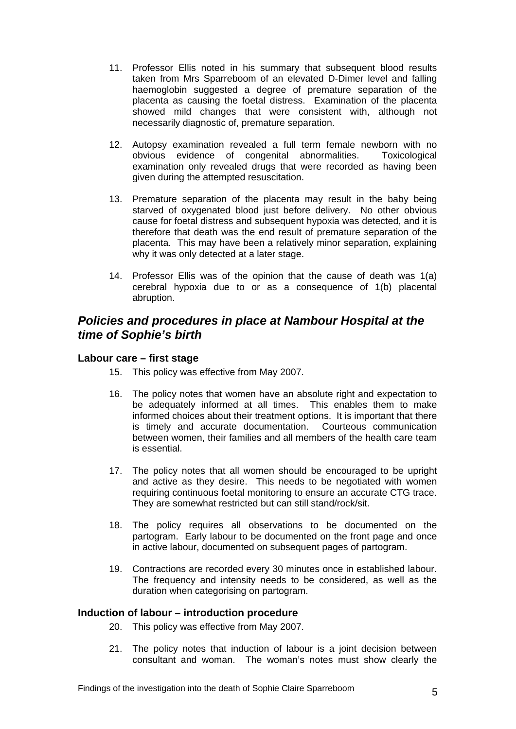- 11. Professor Ellis noted in his summary that subsequent blood results taken from Mrs Sparreboom of an elevated D-Dimer level and falling haemoglobin suggested a degree of premature separation of the placenta as causing the foetal distress. Examination of the placenta showed mild changes that were consistent with, although not necessarily diagnostic of, premature separation.
- 12. Autopsy examination revealed a full term female newborn with no obvious evidence of congenital abnormalities. Toxicological examination only revealed drugs that were recorded as having been given during the attempted resuscitation.
- 13. Premature separation of the placenta may result in the baby being starved of oxygenated blood just before delivery. No other obvious cause for foetal distress and subsequent hypoxia was detected, and it is therefore that death was the end result of premature separation of the placenta. This may have been a relatively minor separation, explaining why it was only detected at a later stage.
- 14. Professor Ellis was of the opinion that the cause of death was 1(a) cerebral hypoxia due to or as a consequence of 1(b) placental abruption.

## <span id="page-6-0"></span>*Policies and procedures in place at Nambour Hospital at the time of Sophie's birth*

### <span id="page-6-1"></span>**Labour care – first stage**

- 15. This policy was effective from May 2007.
- 16. The policy notes that women have an absolute right and expectation to be adequately informed at all times. This enables them to make informed choices about their treatment options. It is important that there is timely and accurate documentation. Courteous communication between women, their families and all members of the health care team is essential.
- 17. The policy notes that all women should be encouraged to be upright and active as they desire. This needs to be negotiated with women requiring continuous foetal monitoring to ensure an accurate CTG trace. They are somewhat restricted but can still stand/rock/sit.
- 18. The policy requires all observations to be documented on the partogram. Early labour to be documented on the front page and once in active labour, documented on subsequent pages of partogram.
- 19. Contractions are recorded every 30 minutes once in established labour. The frequency and intensity needs to be considered, as well as the duration when categorising on partogram.

### <span id="page-6-2"></span>**Induction of labour – introduction procedure**

- 20. This policy was effective from May 2007.
- 21. The policy notes that induction of labour is a joint decision between consultant and woman. The woman's notes must show clearly the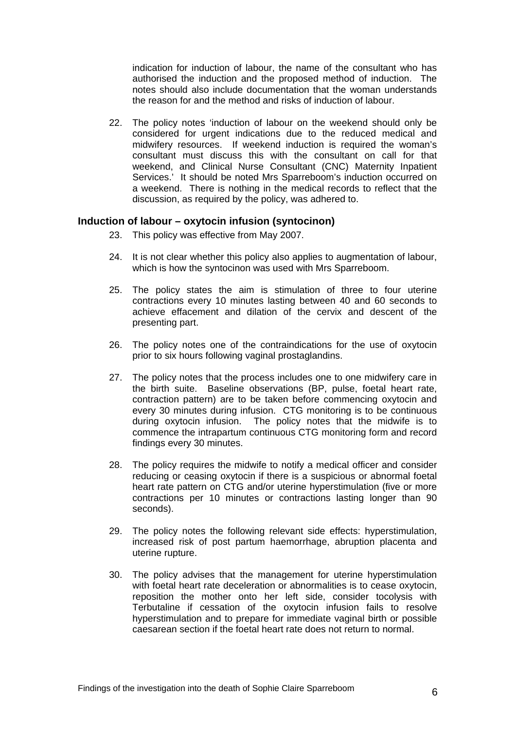indication for induction of labour, the name of the consultant who has authorised the induction and the proposed method of induction. The notes should also include documentation that the woman understands the reason for and the method and risks of induction of labour.

22. The policy notes 'induction of labour on the weekend should only be considered for urgent indications due to the reduced medical and midwifery resources. If weekend induction is required the woman's consultant must discuss this with the consultant on call for that weekend, and Clinical Nurse Consultant (CNC) Maternity Inpatient Services.' It should be noted Mrs Sparreboom's induction occurred on a weekend. There is nothing in the medical records to reflect that the discussion, as required by the policy, was adhered to.

#### <span id="page-7-0"></span>**Induction of labour – oxytocin infusion (syntocinon)**

- 23. This policy was effective from May 2007.
- 24. It is not clear whether this policy also applies to augmentation of labour, which is how the syntocinon was used with Mrs Sparreboom.
- 25. The policy states the aim is stimulation of three to four uterine contractions every 10 minutes lasting between 40 and 60 seconds to achieve effacement and dilation of the cervix and descent of the presenting part.
- 26. The policy notes one of the contraindications for the use of oxytocin prior to six hours following vaginal prostaglandins.
- 27. The policy notes that the process includes one to one midwifery care in the birth suite. Baseline observations (BP, pulse, foetal heart rate, contraction pattern) are to be taken before commencing oxytocin and every 30 minutes during infusion. CTG monitoring is to be continuous during oxytocin infusion. The policy notes that the midwife is to commence the intrapartum continuous CTG monitoring form and record findings every 30 minutes.
- 28. The policy requires the midwife to notify a medical officer and consider reducing or ceasing oxytocin if there is a suspicious or abnormal foetal heart rate pattern on CTG and/or uterine hyperstimulation (five or more contractions per 10 minutes or contractions lasting longer than 90 seconds).
- 29. The policy notes the following relevant side effects: hyperstimulation, increased risk of post partum haemorrhage, abruption placenta and uterine rupture.
- 30. The policy advises that the management for uterine hyperstimulation with foetal heart rate deceleration or abnormalities is to cease oxytocin, reposition the mother onto her left side, consider tocolysis with Terbutaline if cessation of the oxytocin infusion fails to resolve hyperstimulation and to prepare for immediate vaginal birth or possible caesarean section if the foetal heart rate does not return to normal.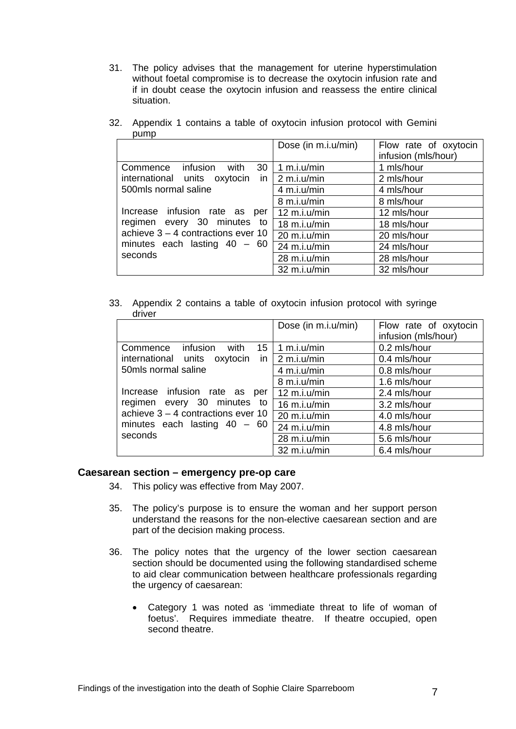31. The policy advises that the management for uterine hyperstimulation without foetal compromise is to decrease the oxytocin infusion rate and if in doubt cease the oxytocin infusion and reassess the entire clinical situation.

|                                                                                                                                                                           | Dose (in m.i.u/min)    | Flow rate of oxytocin |
|---------------------------------------------------------------------------------------------------------------------------------------------------------------------------|------------------------|-----------------------|
|                                                                                                                                                                           |                        | infusion (mls/hour)   |
| Commence infusion with<br>30                                                                                                                                              | 1 m.i.u/min            | 1 mls/hour            |
| international units oxytocin in $2 \text{ m.i.u/min}$                                                                                                                     |                        | 2 mls/hour            |
| 500mls normal saline<br>Increase infusion rate as per<br>regimen every 30 minutes to<br>achieve $3 - 4$ contractions ever 10<br>minutes each lasting $40 - 60$<br>seconds | 4 m.i.u/min            | 4 mls/hour            |
|                                                                                                                                                                           | 8 m.i.u/min            | 8 mls/hour            |
|                                                                                                                                                                           | $12 \text{ m.i.u/min}$ | 12 mls/hour           |
|                                                                                                                                                                           | $18$ m.i.u/min         | 18 mls/hour           |
|                                                                                                                                                                           | 20 m.i.u/min           | 20 mls/hour           |
|                                                                                                                                                                           | 24 m.i.u/min           | 24 mls/hour           |
|                                                                                                                                                                           | 28 m.i.u/min           | 28 mls/hour           |
|                                                                                                                                                                           | 32 m.i.u/min           | 32 mls/hour           |

32. Appendix 1 contains a table of oxytocin infusion protocol with Gemini pump

33. Appendix 2 contains a table of oxytocin infusion protocol with syringe driver

|                                                                                                                                                   | Dose (in m.i.u/min)    | Flow rate of oxytocin<br>infusion (mls/hour) |
|---------------------------------------------------------------------------------------------------------------------------------------------------|------------------------|----------------------------------------------|
| Commence infusion with<br>15                                                                                                                      | 1 m.i.u/min            | 0.2 mls/hour                                 |
| international units oxytocin in                                                                                                                   | $\vert$ 2 m.i.u/min    | 0.4 mls/hour                                 |
| 50mls normal saline                                                                                                                               | 4 m.i.u/min            | 0.8 mls/hour                                 |
|                                                                                                                                                   | 8 m.i.u/min            | 1.6 mls/hour                                 |
| Increase infusion rate as per<br>regimen every 30 minutes to<br>achieve $3 - 4$ contractions ever 10<br>minutes each lasting $40 - 60$<br>seconds | $12 \text{ m.i.u/min}$ | 2.4 mls/hour                                 |
|                                                                                                                                                   | $16$ m.i.u/min         | 3.2 mls/hour                                 |
|                                                                                                                                                   | 20 m.i.u/min           | 4.0 mls/hour                                 |
|                                                                                                                                                   | 24 m.i.u/min           | 4.8 mls/hour                                 |
|                                                                                                                                                   | 28 m.i.u/min           | 5.6 mls/hour                                 |
|                                                                                                                                                   | 32 m.i.u/min           | 6.4 mls/hour                                 |

#### <span id="page-8-0"></span>**Caesarean section – emergency pre-op care**

- 34. This policy was effective from May 2007.
- 35. The policy's purpose is to ensure the woman and her support person understand the reasons for the non-elective caesarean section and are part of the decision making process.
- 36. The policy notes that the urgency of the lower section caesarean section should be documented using the following standardised scheme to aid clear communication between healthcare professionals regarding the urgency of caesarean:
	- Category 1 was noted as 'immediate threat to life of woman of foetus'. Requires immediate theatre. If theatre occupied, open second theatre.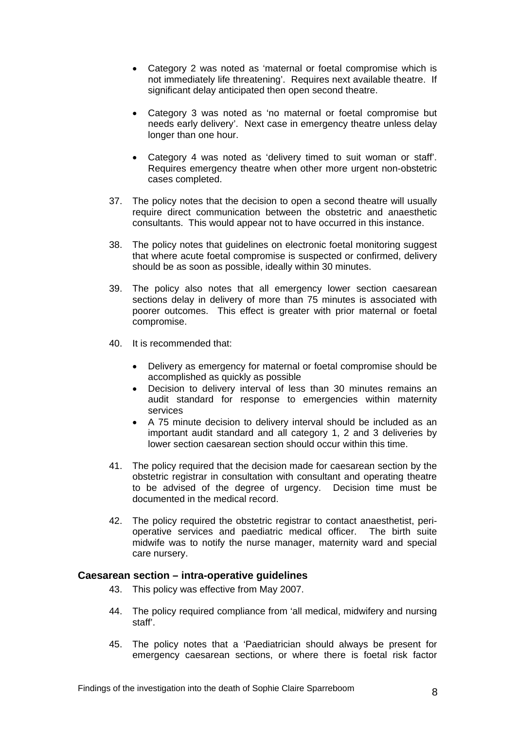- Category 2 was noted as 'maternal or foetal compromise which is not immediately life threatening'. Requires next available theatre. If significant delay anticipated then open second theatre.
- Category 3 was noted as 'no maternal or foetal compromise but needs early delivery'. Next case in emergency theatre unless delay longer than one hour.
- Category 4 was noted as 'delivery timed to suit woman or staff'. Requires emergency theatre when other more urgent non-obstetric cases completed.
- 37. The policy notes that the decision to open a second theatre will usually require direct communication between the obstetric and anaesthetic consultants. This would appear not to have occurred in this instance.
- 38. The policy notes that guidelines on electronic foetal monitoring suggest that where acute foetal compromise is suspected or confirmed, delivery should be as soon as possible, ideally within 30 minutes.
- 39. The policy also notes that all emergency lower section caesarean sections delay in delivery of more than 75 minutes is associated with poorer outcomes. This effect is greater with prior maternal or foetal compromise.
- 40. It is recommended that:
	- Delivery as emergency for maternal or foetal compromise should be accomplished as quickly as possible
	- Decision to delivery interval of less than 30 minutes remains an audit standard for response to emergencies within maternity services
	- A 75 minute decision to delivery interval should be included as an important audit standard and all category 1, 2 and 3 deliveries by lower section caesarean section should occur within this time.
- 41. The policy required that the decision made for caesarean section by the obstetric registrar in consultation with consultant and operating theatre to be advised of the degree of urgency. Decision time must be documented in the medical record.
- 42. The policy required the obstetric registrar to contact anaesthetist, perioperative services and paediatric medical officer. The birth suite midwife was to notify the nurse manager, maternity ward and special care nursery.

#### <span id="page-9-0"></span>**Caesarean section – intra-operative guidelines**

- 43. This policy was effective from May 2007.
- 44. The policy required compliance from 'all medical, midwifery and nursing staff'.
- 45. The policy notes that a 'Paediatrician should always be present for emergency caesarean sections, or where there is foetal risk factor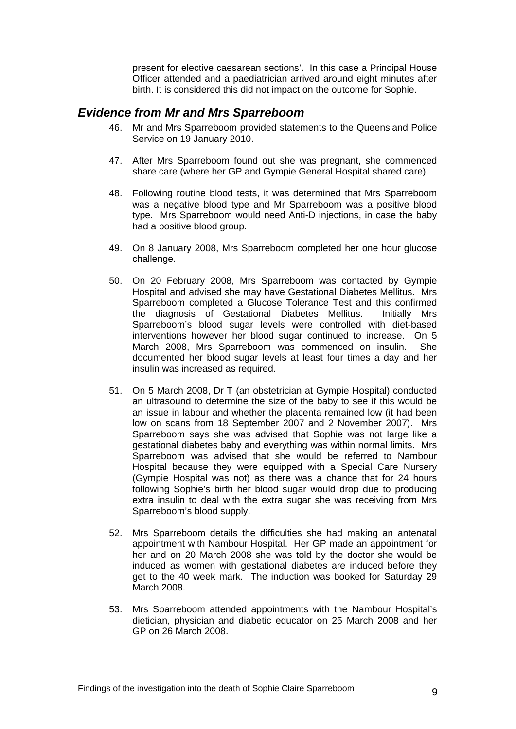present for elective caesarean sections'. In this case a Principal House Officer attended and a paediatrician arrived around eight minutes after birth. It is considered this did not impact on the outcome for Sophie.

### <span id="page-10-0"></span>*Evidence from Mr and Mrs Sparreboom*

- 46. Mr and Mrs Sparreboom provided statements to the Queensland Police Service on 19 January 2010.
- 47. After Mrs Sparreboom found out she was pregnant, she commenced share care (where her GP and Gympie General Hospital shared care).
- 48. Following routine blood tests, it was determined that Mrs Sparreboom was a negative blood type and Mr Sparreboom was a positive blood type. Mrs Sparreboom would need Anti-D injections, in case the baby had a positive blood group.
- 49. On 8 January 2008, Mrs Sparreboom completed her one hour glucose challenge.
- 50. On 20 February 2008, Mrs Sparreboom was contacted by Gympie Hospital and advised she may have Gestational Diabetes Mellitus. Mrs Sparreboom completed a Glucose Tolerance Test and this confirmed the diagnosis of Gestational Diabetes Mellitus. Initially Mrs Sparreboom's blood sugar levels were controlled with diet-based interventions however her blood sugar continued to increase. On 5 March 2008, Mrs Sparreboom was commenced on insulin. She documented her blood sugar levels at least four times a day and her insulin was increased as required.
- 51. On 5 March 2008, Dr T (an obstetrician at Gympie Hospital) conducted an ultrasound to determine the size of the baby to see if this would be an issue in labour and whether the placenta remained low (it had been low on scans from 18 September 2007 and 2 November 2007). Mrs Sparreboom says she was advised that Sophie was not large like a gestational diabetes baby and everything was within normal limits. Mrs Sparreboom was advised that she would be referred to Nambour Hospital because they were equipped with a Special Care Nursery (Gympie Hospital was not) as there was a chance that for 24 hours following Sophie's birth her blood sugar would drop due to producing extra insulin to deal with the extra sugar she was receiving from Mrs Sparreboom's blood supply.
- 52. Mrs Sparreboom details the difficulties she had making an antenatal appointment with Nambour Hospital. Her GP made an appointment for her and on 20 March 2008 she was told by the doctor she would be induced as women with gestational diabetes are induced before they get to the 40 week mark. The induction was booked for Saturday 29 March 2008.
- 53. Mrs Sparreboom attended appointments with the Nambour Hospital's dietician, physician and diabetic educator on 25 March 2008 and her GP on 26 March 2008.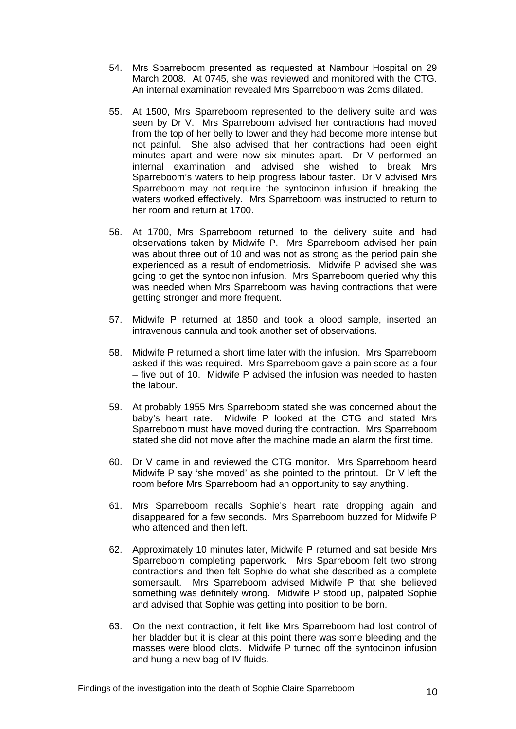- 54. Mrs Sparreboom presented as requested at Nambour Hospital on 29 March 2008. At 0745, she was reviewed and monitored with the CTG. An internal examination revealed Mrs Sparreboom was 2cms dilated.
- 55. At 1500, Mrs Sparreboom represented to the delivery suite and was seen by Dr V. Mrs Sparreboom advised her contractions had moved from the top of her belly to lower and they had become more intense but not painful. She also advised that her contractions had been eight minutes apart and were now six minutes apart. Dr V performed an internal examination and advised she wished to break Mrs Sparreboom's waters to help progress labour faster. Dr V advised Mrs Sparreboom may not require the syntocinon infusion if breaking the waters worked effectively. Mrs Sparreboom was instructed to return to her room and return at 1700.
- 56. At 1700, Mrs Sparreboom returned to the delivery suite and had observations taken by Midwife P. Mrs Sparreboom advised her pain was about three out of 10 and was not as strong as the period pain she experienced as a result of endometriosis. Midwife P advised she was going to get the syntocinon infusion. Mrs Sparreboom queried why this was needed when Mrs Sparreboom was having contractions that were getting stronger and more frequent.
- 57. Midwife P returned at 1850 and took a blood sample, inserted an intravenous cannula and took another set of observations.
- 58. Midwife P returned a short time later with the infusion. Mrs Sparreboom asked if this was required. Mrs Sparreboom gave a pain score as a four – five out of 10. Midwife P advised the infusion was needed to hasten the labour.
- 59. At probably 1955 Mrs Sparreboom stated she was concerned about the baby's heart rate. Midwife P looked at the CTG and stated Mrs Sparreboom must have moved during the contraction. Mrs Sparreboom stated she did not move after the machine made an alarm the first time.
- 60. Dr V came in and reviewed the CTG monitor. Mrs Sparreboom heard Midwife P say 'she moved' as she pointed to the printout. Dr V left the room before Mrs Sparreboom had an opportunity to say anything.
- 61. Mrs Sparreboom recalls Sophie's heart rate dropping again and disappeared for a few seconds. Mrs Sparreboom buzzed for Midwife P who attended and then left.
- 62. Approximately 10 minutes later, Midwife P returned and sat beside Mrs Sparreboom completing paperwork. Mrs Sparreboom felt two strong contractions and then felt Sophie do what she described as a complete somersault. Mrs Sparreboom advised Midwife P that she believed something was definitely wrong. Midwife P stood up, palpated Sophie and advised that Sophie was getting into position to be born.
- 63. On the next contraction, it felt like Mrs Sparreboom had lost control of her bladder but it is clear at this point there was some bleeding and the masses were blood clots. Midwife P turned off the syntocinon infusion and hung a new bag of IV fluids.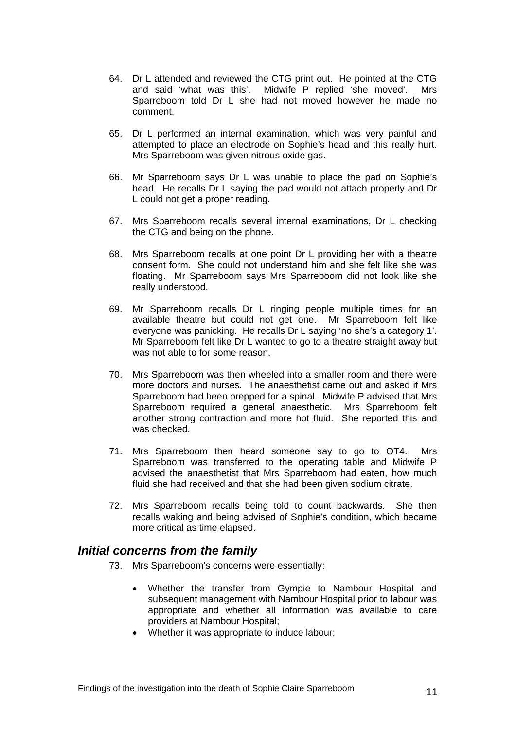- 64. Dr L attended and reviewed the CTG print out. He pointed at the CTG and said 'what was this'. Midwife P replied 'she moved'. Mrs Sparreboom told Dr L she had not moved however he made no comment.
- 65. Dr L performed an internal examination, which was very painful and attempted to place an electrode on Sophie's head and this really hurt. Mrs Sparreboom was given nitrous oxide gas.
- 66. Mr Sparreboom says Dr L was unable to place the pad on Sophie's head. He recalls Dr L saying the pad would not attach properly and Dr L could not get a proper reading.
- 67. Mrs Sparreboom recalls several internal examinations, Dr L checking the CTG and being on the phone.
- 68. Mrs Sparreboom recalls at one point Dr L providing her with a theatre consent form. She could not understand him and she felt like she was floating. Mr Sparreboom says Mrs Sparreboom did not look like she really understood.
- 69. Mr Sparreboom recalls Dr L ringing people multiple times for an available theatre but could not get one. Mr Sparreboom felt like everyone was panicking. He recalls Dr L saying 'no she's a category 1'. Mr Sparreboom felt like Dr L wanted to go to a theatre straight away but was not able to for some reason.
- 70. Mrs Sparreboom was then wheeled into a smaller room and there were more doctors and nurses. The anaesthetist came out and asked if Mrs Sparreboom had been prepped for a spinal. Midwife P advised that Mrs Sparreboom required a general anaesthetic. Mrs Sparreboom felt another strong contraction and more hot fluid. She reported this and was checked.
- 71. Mrs Sparreboom then heard someone say to go to OT4. Mrs Sparreboom was transferred to the operating table and Midwife P advised the anaesthetist that Mrs Sparreboom had eaten, how much fluid she had received and that she had been given sodium citrate.
- 72. Mrs Sparreboom recalls being told to count backwards. She then recalls waking and being advised of Sophie's condition, which became more critical as time elapsed.

## <span id="page-12-0"></span>*Initial concerns from the family*

- 73. Mrs Sparreboom's concerns were essentially:
	- Whether the transfer from Gympie to Nambour Hospital and subsequent management with Nambour Hospital prior to labour was appropriate and whether all information was available to care providers at Nambour Hospital;
	- Whether it was appropriate to induce labour;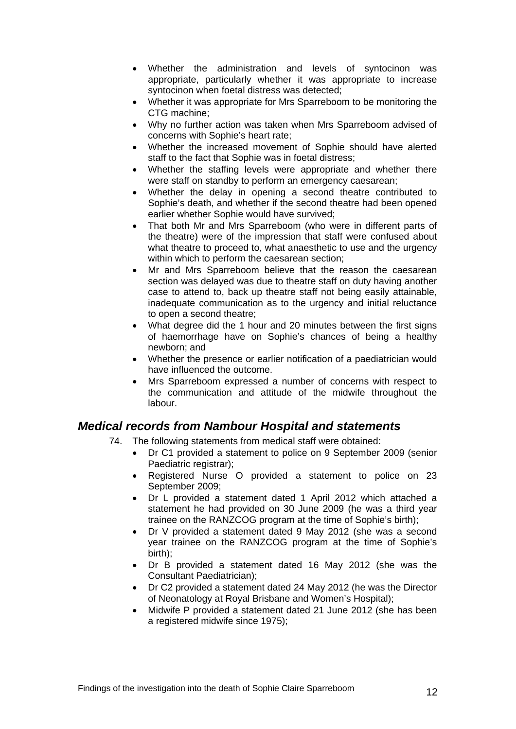- Whether the administration and levels of syntocinon was appropriate, particularly whether it was appropriate to increase syntocinon when foetal distress was detected;
- Whether it was appropriate for Mrs Sparreboom to be monitoring the CTG machine;
- Why no further action was taken when Mrs Sparreboom advised of concerns with Sophie's heart rate;
- Whether the increased movement of Sophie should have alerted staff to the fact that Sophie was in foetal distress;
- Whether the staffing levels were appropriate and whether there were staff on standby to perform an emergency caesarean;
- Whether the delay in opening a second theatre contributed to Sophie's death, and whether if the second theatre had been opened earlier whether Sophie would have survived;
- That both Mr and Mrs Sparreboom (who were in different parts of the theatre) were of the impression that staff were confused about what theatre to proceed to, what anaesthetic to use and the urgency within which to perform the caesarean section;
- Mr and Mrs Sparreboom believe that the reason the caesarean section was delayed was due to theatre staff on duty having another case to attend to, back up theatre staff not being easily attainable, inadequate communication as to the urgency and initial reluctance to open a second theatre;
- What degree did the 1 hour and 20 minutes between the first signs of haemorrhage have on Sophie's chances of being a healthy newborn; and
- Whether the presence or earlier notification of a paediatrician would have influenced the outcome.
- Mrs Sparreboom expressed a number of concerns with respect to the communication and attitude of the midwife throughout the labour.

## <span id="page-13-0"></span>*Medical records from Nambour Hospital and statements*

- 74. The following statements from medical staff were obtained:
	- Dr C1 provided a statement to police on 9 September 2009 (senior Paediatric registrar);
	- Registered Nurse O provided a statement to police on 23 September 2009;
	- Dr L provided a statement dated 1 April 2012 which attached a statement he had provided on 30 June 2009 (he was a third year trainee on the RANZCOG program at the time of Sophie's birth);
	- Dr V provided a statement dated 9 May 2012 (she was a second year trainee on the RANZCOG program at the time of Sophie's birth);
	- Dr B provided a statement dated 16 May 2012 (she was the Consultant Paediatrician);
	- Dr C2 provided a statement dated 24 May 2012 (he was the Director of Neonatology at Royal Brisbane and Women's Hospital);
	- Midwife P provided a statement dated 21 June 2012 (she has been a registered midwife since 1975);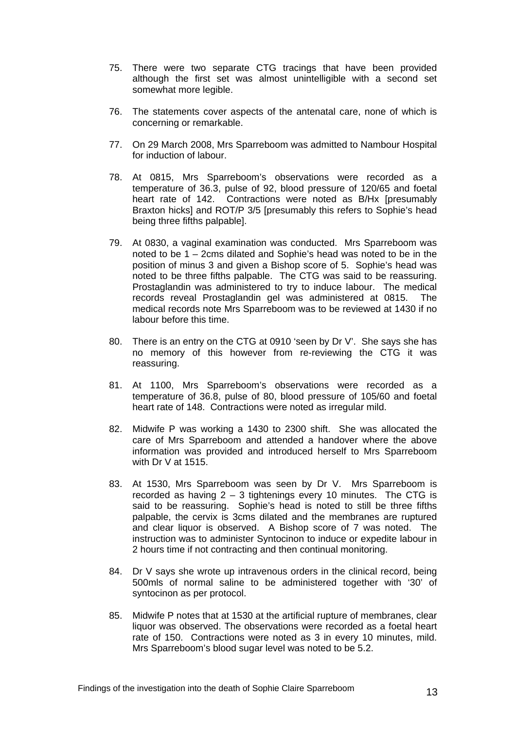- 75. There were two separate CTG tracings that have been provided although the first set was almost unintelligible with a second set somewhat more legible.
- 76. The statements cover aspects of the antenatal care, none of which is concerning or remarkable.
- 77. On 29 March 2008, Mrs Sparreboom was admitted to Nambour Hospital for induction of labour.
- 78. At 0815, Mrs Sparreboom's observations were recorded as a temperature of 36.3, pulse of 92, blood pressure of 120/65 and foetal heart rate of 142. Contractions were noted as B/Hx [presumably Braxton hicks] and ROT/P 3/5 [presumably this refers to Sophie's head being three fifths palpable].
- 79. At 0830, a vaginal examination was conducted. Mrs Sparreboom was noted to be 1 – 2cms dilated and Sophie's head was noted to be in the position of minus 3 and given a Bishop score of 5. Sophie's head was noted to be three fifths palpable. The CTG was said to be reassuring. Prostaglandin was administered to try to induce labour. The medical records reveal Prostaglandin gel was administered at 0815. The medical records note Mrs Sparreboom was to be reviewed at 1430 if no labour before this time.
- 80. There is an entry on the CTG at 0910 'seen by Dr V'. She says she has no memory of this however from re-reviewing the CTG it was reassuring.
- 81. At 1100, Mrs Sparreboom's observations were recorded as a temperature of 36.8, pulse of 80, blood pressure of 105/60 and foetal heart rate of 148. Contractions were noted as irregular mild.
- 82. Midwife P was working a 1430 to 2300 shift. She was allocated the care of Mrs Sparreboom and attended a handover where the above information was provided and introduced herself to Mrs Sparreboom with Dr V at 1515.
- 83. At 1530, Mrs Sparreboom was seen by Dr V. Mrs Sparreboom is recorded as having 2 – 3 tightenings every 10 minutes. The CTG is said to be reassuring. Sophie's head is noted to still be three fifths palpable, the cervix is 3cms dilated and the membranes are ruptured and clear liquor is observed. A Bishop score of 7 was noted. The instruction was to administer Syntocinon to induce or expedite labour in 2 hours time if not contracting and then continual monitoring.
- 84. Dr V says she wrote up intravenous orders in the clinical record, being 500mls of normal saline to be administered together with '30' of syntocinon as per protocol.
- 85. Midwife P notes that at 1530 at the artificial rupture of membranes, clear liquor was observed. The observations were recorded as a foetal heart rate of 150. Contractions were noted as 3 in every 10 minutes, mild. Mrs Sparreboom's blood sugar level was noted to be 5.2.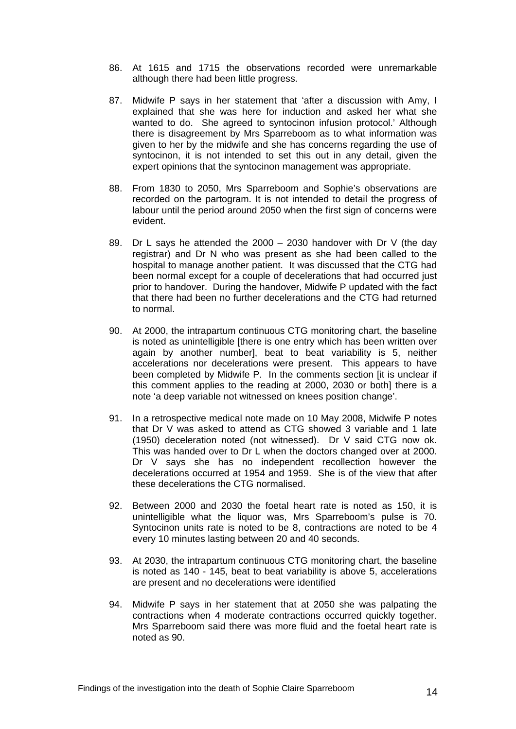- 86. At 1615 and 1715 the observations recorded were unremarkable although there had been little progress.
- 87. Midwife P says in her statement that 'after a discussion with Amy, I explained that she was here for induction and asked her what she wanted to do. She agreed to syntocinon infusion protocol.' Although there is disagreement by Mrs Sparreboom as to what information was given to her by the midwife and she has concerns regarding the use of syntocinon, it is not intended to set this out in any detail, given the expert opinions that the syntocinon management was appropriate.
- 88. From 1830 to 2050, Mrs Sparreboom and Sophie's observations are recorded on the partogram. It is not intended to detail the progress of labour until the period around 2050 when the first sign of concerns were evident.
- 89. Dr L says he attended the 2000 2030 handover with Dr V (the day registrar) and Dr N who was present as she had been called to the hospital to manage another patient. It was discussed that the CTG had been normal except for a couple of decelerations that had occurred just prior to handover. During the handover, Midwife P updated with the fact that there had been no further decelerations and the CTG had returned to normal.
- 90. At 2000, the intrapartum continuous CTG monitoring chart, the baseline is noted as unintelligible [there is one entry which has been written over again by another number], beat to beat variability is 5, neither accelerations nor decelerations were present. This appears to have been completed by Midwife P. In the comments section [it is unclear if this comment applies to the reading at 2000, 2030 or both] there is a note 'a deep variable not witnessed on knees position change'.
- 91. In a retrospective medical note made on 10 May 2008, Midwife P notes that Dr V was asked to attend as CTG showed 3 variable and 1 late (1950) deceleration noted (not witnessed). Dr V said CTG now ok. This was handed over to Dr L when the doctors changed over at 2000. Dr V says she has no independent recollection however the decelerations occurred at 1954 and 1959. She is of the view that after these decelerations the CTG normalised.
- 92. Between 2000 and 2030 the foetal heart rate is noted as 150, it is unintelligible what the liquor was, Mrs Sparreboom's pulse is 70. Syntocinon units rate is noted to be 8, contractions are noted to be 4 every 10 minutes lasting between 20 and 40 seconds.
- 93. At 2030, the intrapartum continuous CTG monitoring chart, the baseline is noted as 140 - 145, beat to beat variability is above 5, accelerations are present and no decelerations were identified
- 94. Midwife P says in her statement that at 2050 she was palpating the contractions when 4 moderate contractions occurred quickly together. Mrs Sparreboom said there was more fluid and the foetal heart rate is noted as 90.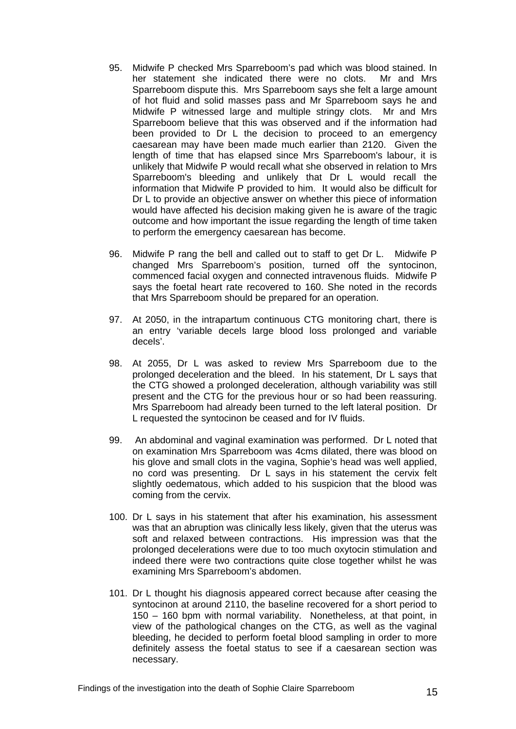- 95. Midwife P checked Mrs Sparreboom's pad which was blood stained. In her statement she indicated there were no clots. Mr and Mrs Sparreboom dispute this. Mrs Sparreboom says she felt a large amount of hot fluid and solid masses pass and Mr Sparreboom says he and Midwife P witnessed large and multiple stringy clots. Mr and Mrs Sparreboom believe that this was observed and if the information had been provided to Dr L the decision to proceed to an emergency caesarean may have been made much earlier than 2120. Given the length of time that has elapsed since Mrs Sparreboom's labour, it is unlikely that Midwife P would recall what she observed in relation to Mrs Sparreboom's bleeding and unlikely that Dr L would recall the information that Midwife P provided to him. It would also be difficult for Dr L to provide an objective answer on whether this piece of information would have affected his decision making given he is aware of the tragic outcome and how important the issue regarding the length of time taken to perform the emergency caesarean has become.
- 96. Midwife P rang the bell and called out to staff to get Dr L. Midwife P changed Mrs Sparreboom's position, turned off the syntocinon, commenced facial oxygen and connected intravenous fluids. Midwife P says the foetal heart rate recovered to 160. She noted in the records that Mrs Sparreboom should be prepared for an operation.
- 97. At 2050, in the intrapartum continuous CTG monitoring chart, there is an entry 'variable decels large blood loss prolonged and variable decels'.
- 98. At 2055, Dr L was asked to review Mrs Sparreboom due to the prolonged deceleration and the bleed. In his statement, Dr L says that the CTG showed a prolonged deceleration, although variability was still present and the CTG for the previous hour or so had been reassuring. Mrs Sparreboom had already been turned to the left lateral position. Dr L requested the syntocinon be ceased and for IV fluids.
- 99. An abdominal and vaginal examination was performed. Dr L noted that on examination Mrs Sparreboom was 4cms dilated, there was blood on his glove and small clots in the vagina, Sophie's head was well applied, no cord was presenting. Dr L says in his statement the cervix felt slightly oedematous, which added to his suspicion that the blood was coming from the cervix.
- 100. Dr L says in his statement that after his examination, his assessment was that an abruption was clinically less likely, given that the uterus was soft and relaxed between contractions. His impression was that the prolonged decelerations were due to too much oxytocin stimulation and indeed there were two contractions quite close together whilst he was examining Mrs Sparreboom's abdomen.
- 101. Dr L thought his diagnosis appeared correct because after ceasing the syntocinon at around 2110, the baseline recovered for a short period to 150 – 160 bpm with normal variability. Nonetheless, at that point, in view of the pathological changes on the CTG, as well as the vaginal bleeding, he decided to perform foetal blood sampling in order to more definitely assess the foetal status to see if a caesarean section was necessary.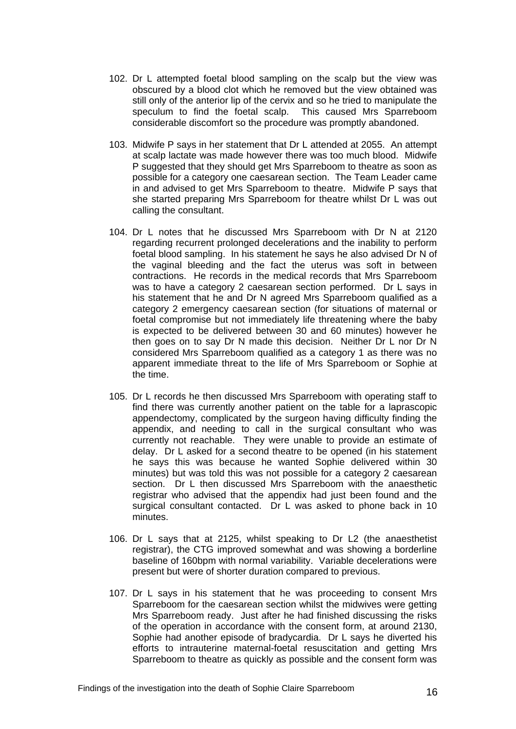- 102. Dr L attempted foetal blood sampling on the scalp but the view was obscured by a blood clot which he removed but the view obtained was still only of the anterior lip of the cervix and so he tried to manipulate the speculum to find the foetal scalp. This caused Mrs Sparreboom considerable discomfort so the procedure was promptly abandoned.
- 103. Midwife P says in her statement that Dr L attended at 2055. An attempt at scalp lactate was made however there was too much blood. Midwife P suggested that they should get Mrs Sparreboom to theatre as soon as possible for a category one caesarean section. The Team Leader came in and advised to get Mrs Sparreboom to theatre. Midwife P says that she started preparing Mrs Sparreboom for theatre whilst Dr L was out calling the consultant.
- 104. Dr L notes that he discussed Mrs Sparreboom with Dr N at 2120 regarding recurrent prolonged decelerations and the inability to perform foetal blood sampling. In his statement he says he also advised Dr N of the vaginal bleeding and the fact the uterus was soft in between contractions. He records in the medical records that Mrs Sparreboom was to have a category 2 caesarean section performed. Dr L says in his statement that he and Dr N agreed Mrs Sparreboom qualified as a category 2 emergency caesarean section (for situations of maternal or foetal compromise but not immediately life threatening where the baby is expected to be delivered between 30 and 60 minutes) however he then goes on to say Dr N made this decision. Neither Dr L nor Dr N considered Mrs Sparreboom qualified as a category 1 as there was no apparent immediate threat to the life of Mrs Sparreboom or Sophie at the time.
- 105. Dr L records he then discussed Mrs Sparreboom with operating staff to find there was currently another patient on the table for a laprascopic appendectomy, complicated by the surgeon having difficulty finding the appendix, and needing to call in the surgical consultant who was currently not reachable. They were unable to provide an estimate of delay. Dr L asked for a second theatre to be opened (in his statement he says this was because he wanted Sophie delivered within 30 minutes) but was told this was not possible for a category 2 caesarean section. Dr L then discussed Mrs Sparreboom with the anaesthetic registrar who advised that the appendix had just been found and the surgical consultant contacted. Dr L was asked to phone back in 10 minutes.
- 106. Dr L says that at 2125, whilst speaking to Dr L2 (the anaesthetist registrar), the CTG improved somewhat and was showing a borderline baseline of 160bpm with normal variability. Variable decelerations were present but were of shorter duration compared to previous.
- 107. Dr L says in his statement that he was proceeding to consent Mrs Sparreboom for the caesarean section whilst the midwives were getting Mrs Sparreboom ready. Just after he had finished discussing the risks of the operation in accordance with the consent form, at around 2130, Sophie had another episode of bradycardia. Dr L says he diverted his efforts to intrauterine maternal-foetal resuscitation and getting Mrs Sparreboom to theatre as quickly as possible and the consent form was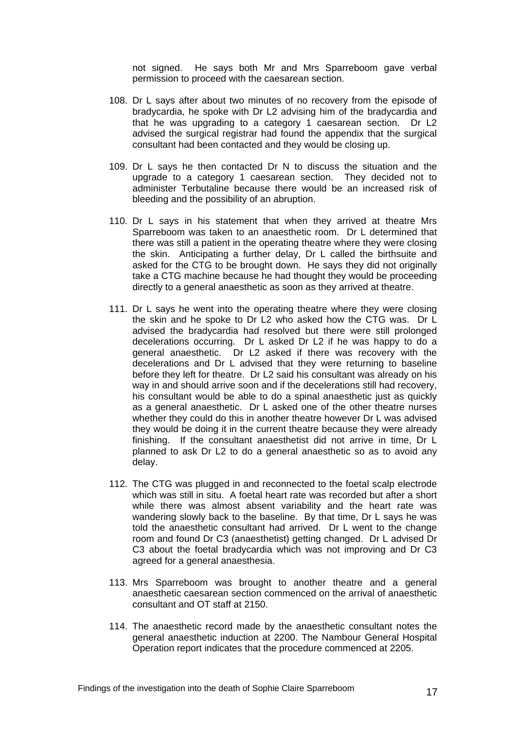not signed. He says both Mr and Mrs Sparreboom gave verbal permission to proceed with the caesarean section.

- 108. Dr L says after about two minutes of no recovery from the episode of bradycardia, he spoke with Dr L2 advising him of the bradycardia and that he was upgrading to a category 1 caesarean section. Dr L2 advised the surgical registrar had found the appendix that the surgical consultant had been contacted and they would be closing up.
- 109. Dr L says he then contacted Dr N to discuss the situation and the upgrade to a category 1 caesarean section. They decided not to administer Terbutaline because there would be an increased risk of bleeding and the possibility of an abruption.
- 110. Dr L says in his statement that when they arrived at theatre Mrs Sparreboom was taken to an anaesthetic room. Dr L determined that there was still a patient in the operating theatre where they were closing the skin. Anticipating a further delay, Dr L called the birthsuite and asked for the CTG to be brought down. He says they did not originally take a CTG machine because he had thought they would be proceeding directly to a general anaesthetic as soon as they arrived at theatre.
- 111. Dr L says he went into the operating theatre where they were closing the skin and he spoke to Dr L2 who asked how the CTG was. Dr L advised the bradycardia had resolved but there were still prolonged decelerations occurring. Dr L asked Dr L2 if he was happy to do a general anaesthetic. Dr L2 asked if there was recovery with the decelerations and Dr L advised that they were returning to baseline before they left for theatre. Dr L2 said his consultant was already on his way in and should arrive soon and if the decelerations still had recovery, his consultant would be able to do a spinal anaesthetic just as quickly as a general anaesthetic. Dr L asked one of the other theatre nurses whether they could do this in another theatre however Dr L was advised they would be doing it in the current theatre because they were already finishing. If the consultant anaesthetist did not arrive in time, Dr L planned to ask Dr L2 to do a general anaesthetic so as to avoid any delay.
- 112. The CTG was plugged in and reconnected to the foetal scalp electrode which was still in situ. A foetal heart rate was recorded but after a short while there was almost absent variability and the heart rate was wandering slowly back to the baseline. By that time, Dr L says he was told the anaesthetic consultant had arrived. Dr L went to the change room and found Dr C3 (anaesthetist) getting changed. Dr L advised Dr C3 about the foetal bradycardia which was not improving and Dr C3 agreed for a general anaesthesia.
- 113. Mrs Sparreboom was brought to another theatre and a general anaesthetic caesarean section commenced on the arrival of anaesthetic consultant and OT staff at 2150.
- 114. The anaesthetic record made by the anaesthetic consultant notes the general anaesthetic induction at 2200. The Nambour General Hospital Operation report indicates that the procedure commenced at 2205.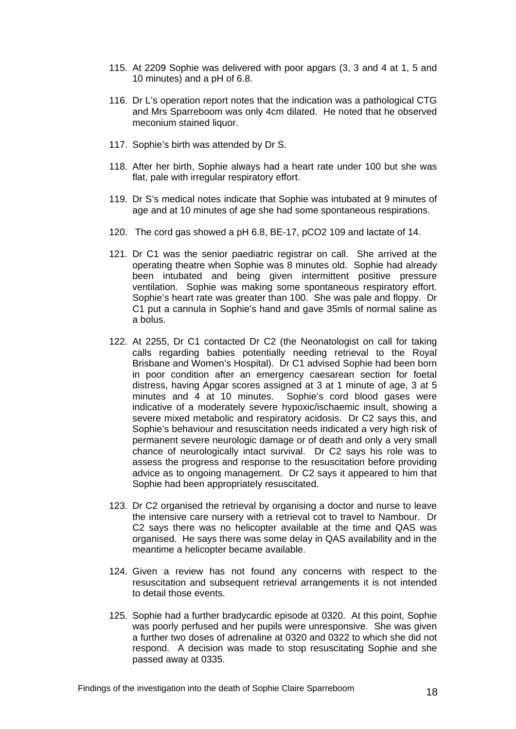- 115. At 2209 Sophie was delivered with poor apgars (3, 3 and 4 at 1, 5 and 10 minutes) and a pH of 6.8.
- 116. Dr L's operation report notes that the indication was a pathological CTG and Mrs Sparreboom was only 4cm dilated. He noted that he observed meconium stained liquor.
- 117. Sophie's birth was attended by Dr S.
- 118. After her birth, Sophie always had a heart rate under 100 but she was flat, pale with irregular respiratory effort.
- 119. Dr S's medical notes indicate that Sophie was intubated at 9 minutes of age and at 10 minutes of age she had some spontaneous respirations.
- 120. The cord gas showed a pH 6.8, BE-17, pCO2 109 and lactate of 14.
- 121. Dr C1 was the senior paediatric registrar on call. She arrived at the operating theatre when Sophie was 8 minutes old. Sophie had already been intubated and being given intermittent positive pressure ventilation. Sophie was making some spontaneous respiratory effort. Sophie's heart rate was greater than 100. She was pale and floppy. Dr C1 put a cannula in Sophie's hand and gave 35mls of normal saline as a bolus.
- 122. At 2255, Dr C1 contacted Dr C2 (the Neonatologist on call for taking calls regarding babies potentially needing retrieval to the Royal Brisbane and Women's Hospital). Dr C1 advised Sophie had been born in poor condition after an emergency caesarean section for foetal distress, having Apgar scores assigned at 3 at 1 minute of age, 3 at 5 minutes and 4 at 10 minutes. Sophie's cord blood gases were indicative of a moderately severe hypoxic/ischaemic insult, showing a severe mixed metabolic and respiratory acidosis. Dr C2 says this, and Sophie's behaviour and resuscitation needs indicated a very high risk of permanent severe neurologic damage or of death and only a very small chance of neurologically intact survival. Dr C2 says his role was to assess the progress and response to the resuscitation before providing advice as to ongoing management. Dr C2 says it appeared to him that Sophie had been appropriately resuscitated.
- 123. Dr C2 organised the retrieval by organising a doctor and nurse to leave the intensive care nursery with a retrieval cot to travel to Nambour. Dr C2 says there was no helicopter available at the time and QAS was organised. He says there was some delay in QAS availability and in the meantime a helicopter became available.
- 124. Given a review has not found any concerns with respect to the resuscitation and subsequent retrieval arrangements it is not intended to detail those events.
- 125. Sophie had a further bradycardic episode at 0320. At this point, Sophie was poorly perfused and her pupils were unresponsive. She was given a further two doses of adrenaline at 0320 and 0322 to which she did not respond. A decision was made to stop resuscitating Sophie and she passed away at 0335.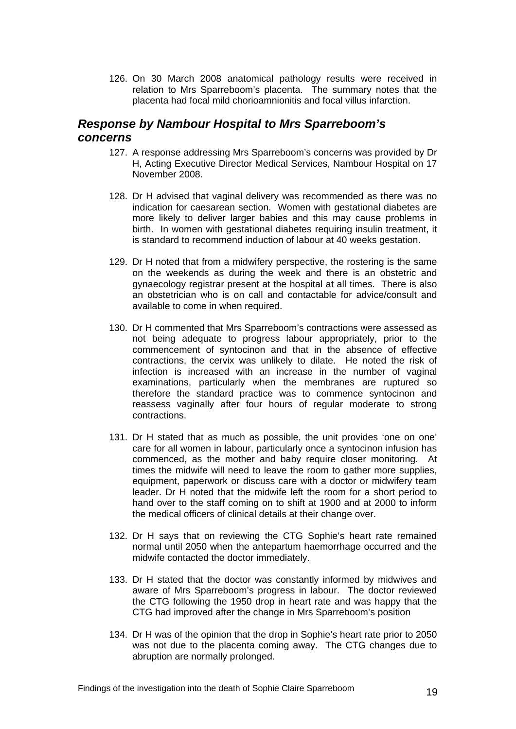126. On 30 March 2008 anatomical pathology results were received in relation to Mrs Sparreboom's placenta. The summary notes that the placenta had focal mild chorioamnionitis and focal villus infarction.

## <span id="page-20-0"></span>*Response by Nambour Hospital to Mrs Sparreboom's concerns*

- 127. A response addressing Mrs Sparreboom's concerns was provided by Dr H, Acting Executive Director Medical Services, Nambour Hospital on 17 November 2008.
- 128. Dr H advised that vaginal delivery was recommended as there was no indication for caesarean section. Women with gestational diabetes are more likely to deliver larger babies and this may cause problems in birth. In women with gestational diabetes requiring insulin treatment, it is standard to recommend induction of labour at 40 weeks gestation.
- 129. Dr H noted that from a midwifery perspective, the rostering is the same on the weekends as during the week and there is an obstetric and gynaecology registrar present at the hospital at all times. There is also an obstetrician who is on call and contactable for advice/consult and available to come in when required.
- 130. Dr H commented that Mrs Sparreboom's contractions were assessed as not being adequate to progress labour appropriately, prior to the commencement of syntocinon and that in the absence of effective contractions, the cervix was unlikely to dilate. He noted the risk of infection is increased with an increase in the number of vaginal examinations, particularly when the membranes are ruptured so therefore the standard practice was to commence syntocinon and reassess vaginally after four hours of regular moderate to strong contractions.
- 131. Dr H stated that as much as possible, the unit provides 'one on one' care for all women in labour, particularly once a syntocinon infusion has commenced, as the mother and baby require closer monitoring. At times the midwife will need to leave the room to gather more supplies, equipment, paperwork or discuss care with a doctor or midwifery team leader. Dr H noted that the midwife left the room for a short period to hand over to the staff coming on to shift at 1900 and at 2000 to inform the medical officers of clinical details at their change over.
- 132. Dr H says that on reviewing the CTG Sophie's heart rate remained normal until 2050 when the antepartum haemorrhage occurred and the midwife contacted the doctor immediately.
- 133. Dr H stated that the doctor was constantly informed by midwives and aware of Mrs Sparreboom's progress in labour. The doctor reviewed the CTG following the 1950 drop in heart rate and was happy that the CTG had improved after the change in Mrs Sparreboom's position
- 134. Dr H was of the opinion that the drop in Sophie's heart rate prior to 2050 was not due to the placenta coming away. The CTG changes due to abruption are normally prolonged.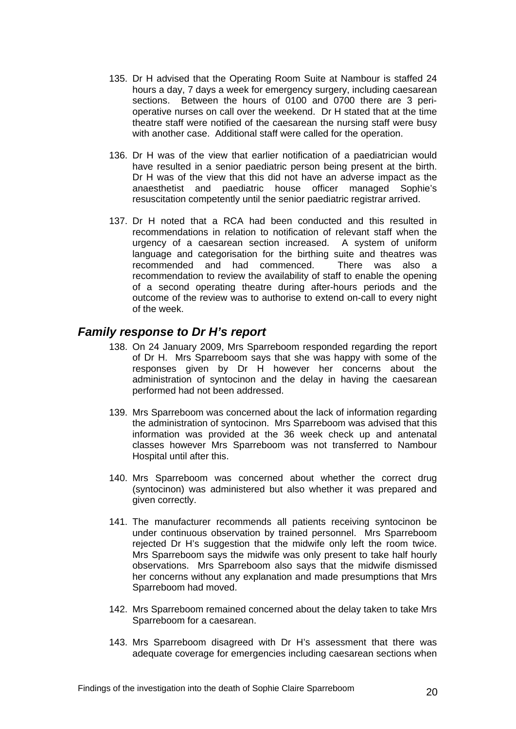- 135. Dr H advised that the Operating Room Suite at Nambour is staffed 24 hours a day, 7 days a week for emergency surgery, including caesarean sections. Between the hours of 0100 and 0700 there are 3 perioperative nurses on call over the weekend. Dr H stated that at the time theatre staff were notified of the caesarean the nursing staff were busy with another case. Additional staff were called for the operation.
- 136. Dr H was of the view that earlier notification of a paediatrician would have resulted in a senior paediatric person being present at the birth. Dr H was of the view that this did not have an adverse impact as the anaesthetist and paediatric house officer managed Sophie's resuscitation competently until the senior paediatric registrar arrived.
- 137. Dr H noted that a RCA had been conducted and this resulted in recommendations in relation to notification of relevant staff when the urgency of a caesarean section increased. A system of uniform language and categorisation for the birthing suite and theatres was recommended and had commenced. There was also a recommendation to review the availability of staff to enable the opening of a second operating theatre during after-hours periods and the outcome of the review was to authorise to extend on-call to every night of the week.

## <span id="page-21-0"></span>*Family response to Dr H's report*

- 138. On 24 January 2009, Mrs Sparreboom responded regarding the report of Dr H. Mrs Sparreboom says that she was happy with some of the responses given by Dr H however her concerns about the administration of syntocinon and the delay in having the caesarean performed had not been addressed.
- 139. Mrs Sparreboom was concerned about the lack of information regarding the administration of syntocinon. Mrs Sparreboom was advised that this information was provided at the 36 week check up and antenatal classes however Mrs Sparreboom was not transferred to Nambour Hospital until after this.
- 140. Mrs Sparreboom was concerned about whether the correct drug (syntocinon) was administered but also whether it was prepared and given correctly.
- 141. The manufacturer recommends all patients receiving syntocinon be under continuous observation by trained personnel. Mrs Sparreboom rejected Dr H's suggestion that the midwife only left the room twice. Mrs Sparreboom says the midwife was only present to take half hourly observations. Mrs Sparreboom also says that the midwife dismissed her concerns without any explanation and made presumptions that Mrs Sparreboom had moved.
- 142. Mrs Sparreboom remained concerned about the delay taken to take Mrs Sparreboom for a caesarean.
- 143. Mrs Sparreboom disagreed with Dr H's assessment that there was adequate coverage for emergencies including caesarean sections when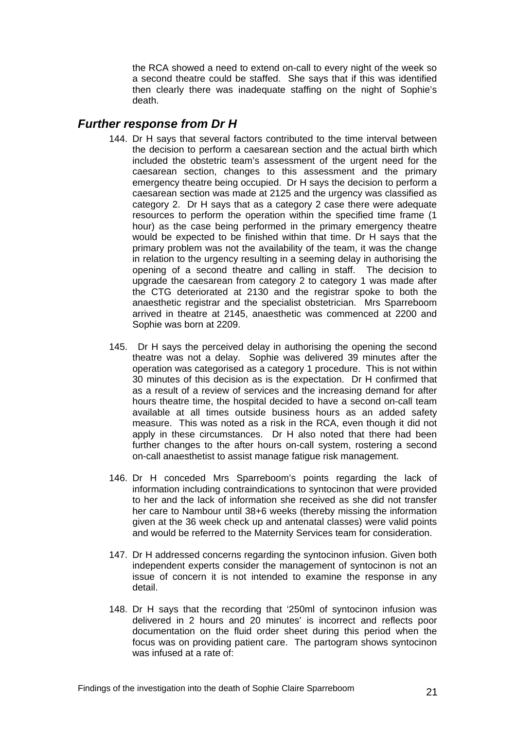the RCA showed a need to extend on-call to every night of the week so a second theatre could be staffed. She says that if this was identified then clearly there was inadequate staffing on the night of Sophie's death.

## <span id="page-22-0"></span>*Further response from Dr H*

- 144. Dr H says that several factors contributed to the time interval between the decision to perform a caesarean section and the actual birth which included the obstetric team's assessment of the urgent need for the caesarean section, changes to this assessment and the primary emergency theatre being occupied. Dr H says the decision to perform a caesarean section was made at 2125 and the urgency was classified as category 2. Dr H says that as a category 2 case there were adequate resources to perform the operation within the specified time frame (1 hour) as the case being performed in the primary emergency theatre would be expected to be finished within that time. Dr H says that the primary problem was not the availability of the team, it was the change in relation to the urgency resulting in a seeming delay in authorising the opening of a second theatre and calling in staff. The decision to upgrade the caesarean from category 2 to category 1 was made after the CTG deteriorated at 2130 and the registrar spoke to both the anaesthetic registrar and the specialist obstetrician. Mrs Sparreboom arrived in theatre at 2145, anaesthetic was commenced at 2200 and Sophie was born at 2209.
- 145. Dr H says the perceived delay in authorising the opening the second theatre was not a delay. Sophie was delivered 39 minutes after the operation was categorised as a category 1 procedure. This is not within 30 minutes of this decision as is the expectation. Dr H confirmed that as a result of a review of services and the increasing demand for after hours theatre time, the hospital decided to have a second on-call team available at all times outside business hours as an added safety measure. This was noted as a risk in the RCA, even though it did not apply in these circumstances. Dr H also noted that there had been further changes to the after hours on-call system, rostering a second on-call anaesthetist to assist manage fatigue risk management.
- 146. Dr H conceded Mrs Sparreboom's points regarding the lack of information including contraindications to syntocinon that were provided to her and the lack of information she received as she did not transfer her care to Nambour until 38+6 weeks (thereby missing the information given at the 36 week check up and antenatal classes) were valid points and would be referred to the Maternity Services team for consideration.
- 147. Dr H addressed concerns regarding the syntocinon infusion. Given both independent experts consider the management of syntocinon is not an issue of concern it is not intended to examine the response in any detail.
- 148. Dr H says that the recording that '250ml of syntocinon infusion was delivered in 2 hours and 20 minutes' is incorrect and reflects poor documentation on the fluid order sheet during this period when the focus was on providing patient care. The partogram shows syntocinon was infused at a rate of: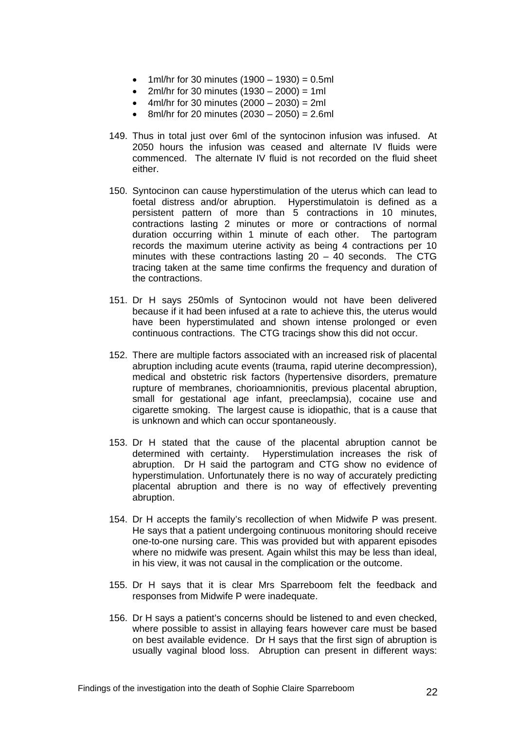- 1ml/hr for 30 minutes  $(1900 1930) = 0.5$ ml
- $2m$ *l*/hr for 30 minutes (1930 2000) = 1ml
- $4ml/hr$  for 30 minutes  $(2000 2030) = 2ml$
- $\bullet$  8ml/hr for 20 minutes (2030 2050) = 2.6ml
- 149. Thus in total just over 6ml of the syntocinon infusion was infused. At 2050 hours the infusion was ceased and alternate IV fluids were commenced. The alternate IV fluid is not recorded on the fluid sheet either.
- 150. Syntocinon can cause hyperstimulation of the uterus which can lead to foetal distress and/or abruption. Hyperstimulatoin is defined as a persistent pattern of more than 5 contractions in 10 minutes, contractions lasting 2 minutes or more or contractions of normal duration occurring within 1 minute of each other. The partogram records the maximum uterine activity as being 4 contractions per 10 minutes with these contractions lasting 20 – 40 seconds. The CTG tracing taken at the same time confirms the frequency and duration of the contractions.
- 151. Dr H says 250mls of Syntocinon would not have been delivered because if it had been infused at a rate to achieve this, the uterus would have been hyperstimulated and shown intense prolonged or even continuous contractions. The CTG tracings show this did not occur.
- 152. There are multiple factors associated with an increased risk of placental abruption including acute events (trauma, rapid uterine decompression), medical and obstetric risk factors (hypertensive disorders, premature rupture of membranes, chorioamnionitis, previous placental abruption, small for gestational age infant, preeclampsia), cocaine use and cigarette smoking. The largest cause is idiopathic, that is a cause that is unknown and which can occur spontaneously.
- 153. Dr H stated that the cause of the placental abruption cannot be determined with certainty. Hyperstimulation increases the risk of abruption. Dr H said the partogram and CTG show no evidence of hyperstimulation. Unfortunately there is no way of accurately predicting placental abruption and there is no way of effectively preventing abruption.
- 154. Dr H accepts the family's recollection of when Midwife P was present. He says that a patient undergoing continuous monitoring should receive one-to-one nursing care. This was provided but with apparent episodes where no midwife was present. Again whilst this may be less than ideal, in his view, it was not causal in the complication or the outcome.
- 155. Dr H says that it is clear Mrs Sparreboom felt the feedback and responses from Midwife P were inadequate.
- 156. Dr H says a patient's concerns should be listened to and even checked, where possible to assist in allaying fears however care must be based on best available evidence. Dr H says that the first sign of abruption is usually vaginal blood loss. Abruption can present in different ways: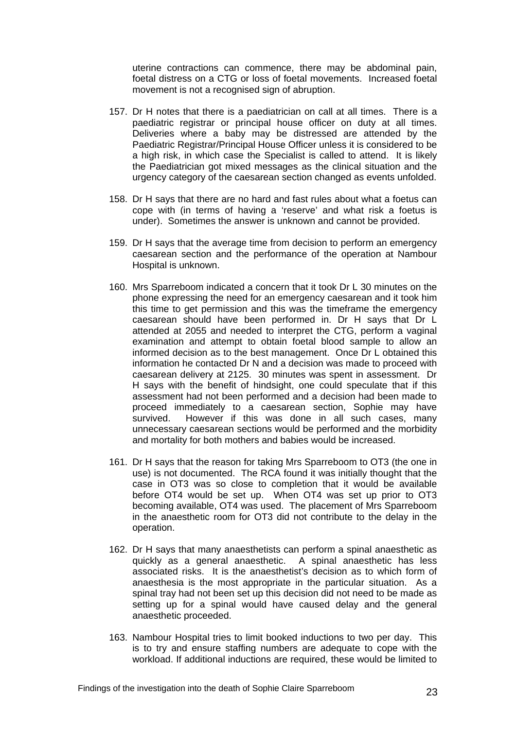uterine contractions can commence, there may be abdominal pain, foetal distress on a CTG or loss of foetal movements. Increased foetal movement is not a recognised sign of abruption.

- 157. Dr H notes that there is a paediatrician on call at all times. There is a paediatric registrar or principal house officer on duty at all times. Deliveries where a baby may be distressed are attended by the Paediatric Registrar/Principal House Officer unless it is considered to be a high risk, in which case the Specialist is called to attend. It is likely the Paediatrician got mixed messages as the clinical situation and the urgency category of the caesarean section changed as events unfolded.
- 158. Dr H says that there are no hard and fast rules about what a foetus can cope with (in terms of having a 'reserve' and what risk a foetus is under). Sometimes the answer is unknown and cannot be provided.
- 159. Dr H says that the average time from decision to perform an emergency caesarean section and the performance of the operation at Nambour Hospital is unknown.
- 160. Mrs Sparreboom indicated a concern that it took Dr L 30 minutes on the phone expressing the need for an emergency caesarean and it took him this time to get permission and this was the timeframe the emergency caesarean should have been performed in. Dr H says that Dr L attended at 2055 and needed to interpret the CTG, perform a vaginal examination and attempt to obtain foetal blood sample to allow an informed decision as to the best management. Once Dr L obtained this information he contacted Dr N and a decision was made to proceed with caesarean delivery at 2125. 30 minutes was spent in assessment. Dr H says with the benefit of hindsight, one could speculate that if this assessment had not been performed and a decision had been made to proceed immediately to a caesarean section, Sophie may have survived. However if this was done in all such cases, many unnecessary caesarean sections would be performed and the morbidity and mortality for both mothers and babies would be increased.
- 161. Dr H says that the reason for taking Mrs Sparreboom to OT3 (the one in use) is not documented. The RCA found it was initially thought that the case in OT3 was so close to completion that it would be available before OT4 would be set up. When OT4 was set up prior to OT3 becoming available, OT4 was used. The placement of Mrs Sparreboom in the anaesthetic room for OT3 did not contribute to the delay in the operation.
- 162. Dr H says that many anaesthetists can perform a spinal anaesthetic as quickly as a general anaesthetic. A spinal anaesthetic has less associated risks. It is the anaesthetist's decision as to which form of anaesthesia is the most appropriate in the particular situation. As a spinal tray had not been set up this decision did not need to be made as setting up for a spinal would have caused delay and the general anaesthetic proceeded.
- 163. Nambour Hospital tries to limit booked inductions to two per day. This is to try and ensure staffing numbers are adequate to cope with the workload. If additional inductions are required, these would be limited to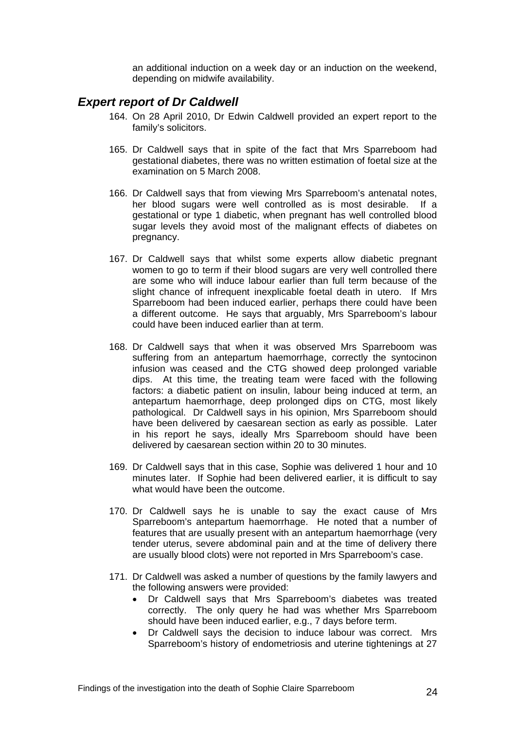an additional induction on a week day or an induction on the weekend, depending on midwife availability.

### <span id="page-25-0"></span>*Expert report of Dr Caldwell*

- 164. On 28 April 2010, Dr Edwin Caldwell provided an expert report to the family's solicitors.
- 165. Dr Caldwell says that in spite of the fact that Mrs Sparreboom had gestational diabetes, there was no written estimation of foetal size at the examination on 5 March 2008.
- 166. Dr Caldwell says that from viewing Mrs Sparreboom's antenatal notes, her blood sugars were well controlled as is most desirable. If a gestational or type 1 diabetic, when pregnant has well controlled blood sugar levels they avoid most of the malignant effects of diabetes on pregnancy.
- 167. Dr Caldwell says that whilst some experts allow diabetic pregnant women to go to term if their blood sugars are very well controlled there are some who will induce labour earlier than full term because of the slight chance of infrequent inexplicable foetal death in utero. If Mrs Sparreboom had been induced earlier, perhaps there could have been a different outcome. He says that arguably, Mrs Sparreboom's labour could have been induced earlier than at term.
- 168. Dr Caldwell says that when it was observed Mrs Sparreboom was suffering from an antepartum haemorrhage, correctly the syntocinon infusion was ceased and the CTG showed deep prolonged variable dips. At this time, the treating team were faced with the following factors: a diabetic patient on insulin, labour being induced at term, an antepartum haemorrhage, deep prolonged dips on CTG, most likely pathological. Dr Caldwell says in his opinion, Mrs Sparreboom should have been delivered by caesarean section as early as possible. Later in his report he says, ideally Mrs Sparreboom should have been delivered by caesarean section within 20 to 30 minutes.
- 169. Dr Caldwell says that in this case, Sophie was delivered 1 hour and 10 minutes later. If Sophie had been delivered earlier, it is difficult to say what would have been the outcome.
- 170. Dr Caldwell says he is unable to say the exact cause of Mrs Sparreboom's antepartum haemorrhage. He noted that a number of features that are usually present with an antepartum haemorrhage (very tender uterus, severe abdominal pain and at the time of delivery there are usually blood clots) were not reported in Mrs Sparreboom's case.
- 171. Dr Caldwell was asked a number of questions by the family lawyers and the following answers were provided:
	- Dr Caldwell says that Mrs Sparreboom's diabetes was treated correctly. The only query he had was whether Mrs Sparreboom should have been induced earlier, e.g., 7 days before term.
	- Dr Caldwell says the decision to induce labour was correct. Mrs Sparreboom's history of endometriosis and uterine tightenings at 27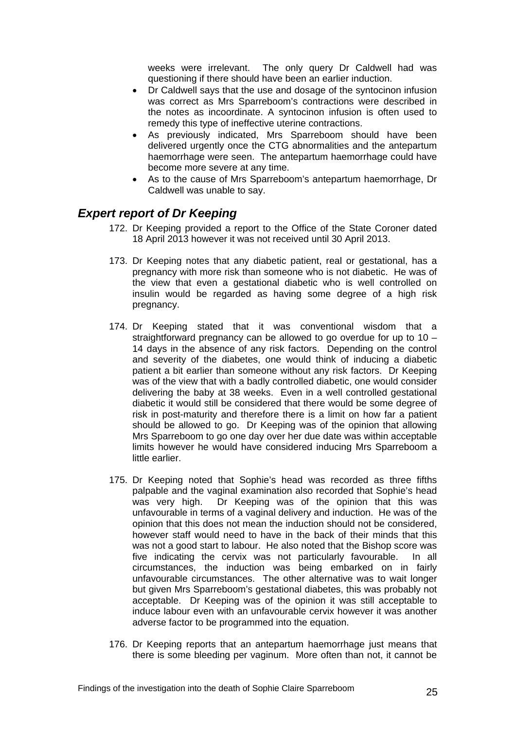weeks were irrelevant. The only query Dr Caldwell had was questioning if there should have been an earlier induction.

- Dr Caldwell says that the use and dosage of the syntocinon infusion was correct as Mrs Sparreboom's contractions were described in the notes as incoordinate. A syntocinon infusion is often used to remedy this type of ineffective uterine contractions.
- As previously indicated, Mrs Sparreboom should have been delivered urgently once the CTG abnormalities and the antepartum haemorrhage were seen. The antepartum haemorrhage could have become more severe at any time.
- As to the cause of Mrs Sparreboom's antepartum haemorrhage, Dr Caldwell was unable to say.

## <span id="page-26-0"></span>*Expert report of Dr Keeping*

- 172. Dr Keeping provided a report to the Office of the State Coroner dated 18 April 2013 however it was not received until 30 April 2013.
- 173. Dr Keeping notes that any diabetic patient, real or gestational, has a pregnancy with more risk than someone who is not diabetic. He was of the view that even a gestational diabetic who is well controlled on insulin would be regarded as having some degree of a high risk pregnancy.
- 174. Dr Keeping stated that it was conventional wisdom that a straightforward pregnancy can be allowed to go overdue for up to 10 – 14 days in the absence of any risk factors. Depending on the control and severity of the diabetes, one would think of inducing a diabetic patient a bit earlier than someone without any risk factors. Dr Keeping was of the view that with a badly controlled diabetic, one would consider delivering the baby at 38 weeks. Even in a well controlled gestational diabetic it would still be considered that there would be some degree of risk in post-maturity and therefore there is a limit on how far a patient should be allowed to go. Dr Keeping was of the opinion that allowing Mrs Sparreboom to go one day over her due date was within acceptable limits however he would have considered inducing Mrs Sparreboom a little earlier.
- 175. Dr Keeping noted that Sophie's head was recorded as three fifths palpable and the vaginal examination also recorded that Sophie's head was very high. Dr Keeping was of the opinion that this was unfavourable in terms of a vaginal delivery and induction. He was of the opinion that this does not mean the induction should not be considered, however staff would need to have in the back of their minds that this was not a good start to labour. He also noted that the Bishop score was five indicating the cervix was not particularly favourable. In all circumstances, the induction was being embarked on in fairly unfavourable circumstances. The other alternative was to wait longer but given Mrs Sparreboom's gestational diabetes, this was probably not acceptable. Dr Keeping was of the opinion it was still acceptable to induce labour even with an unfavourable cervix however it was another adverse factor to be programmed into the equation.
- 176. Dr Keeping reports that an antepartum haemorrhage just means that there is some bleeding per vaginum. More often than not, it cannot be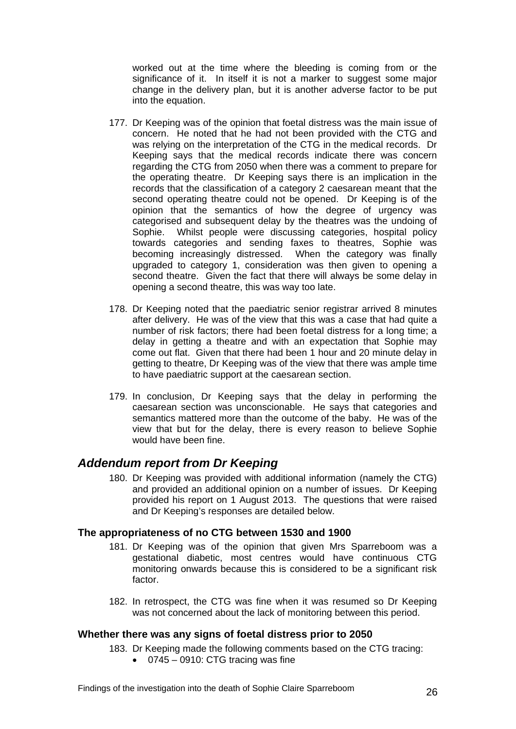worked out at the time where the bleeding is coming from or the significance of it. In itself it is not a marker to suggest some major change in the delivery plan, but it is another adverse factor to be put into the equation.

- 177. Dr Keeping was of the opinion that foetal distress was the main issue of concern. He noted that he had not been provided with the CTG and was relying on the interpretation of the CTG in the medical records. Dr Keeping says that the medical records indicate there was concern regarding the CTG from 2050 when there was a comment to prepare for the operating theatre. Dr Keeping says there is an implication in the records that the classification of a category 2 caesarean meant that the second operating theatre could not be opened. Dr Keeping is of the opinion that the semantics of how the degree of urgency was categorised and subsequent delay by the theatres was the undoing of Sophie. Whilst people were discussing categories, hospital policy towards categories and sending faxes to theatres, Sophie was becoming increasingly distressed. When the category was finally upgraded to category 1, consideration was then given to opening a second theatre. Given the fact that there will always be some delay in opening a second theatre, this was way too late.
- 178. Dr Keeping noted that the paediatric senior registrar arrived 8 minutes after delivery. He was of the view that this was a case that had quite a number of risk factors; there had been foetal distress for a long time; a delay in getting a theatre and with an expectation that Sophie may come out flat. Given that there had been 1 hour and 20 minute delay in getting to theatre, Dr Keeping was of the view that there was ample time to have paediatric support at the caesarean section.
- 179. In conclusion, Dr Keeping says that the delay in performing the caesarean section was unconscionable. He says that categories and semantics mattered more than the outcome of the baby. He was of the view that but for the delay, there is every reason to believe Sophie would have been fine.

## <span id="page-27-0"></span>*Addendum report from Dr Keeping*

180. Dr Keeping was provided with additional information (namely the CTG) and provided an additional opinion on a number of issues. Dr Keeping provided his report on 1 August 2013. The questions that were raised and Dr Keeping's responses are detailed below.

#### <span id="page-27-1"></span>**The appropriateness of no CTG between 1530 and 1900**

- 181. Dr Keeping was of the opinion that given Mrs Sparreboom was a gestational diabetic, most centres would have continuous CTG monitoring onwards because this is considered to be a significant risk factor.
- 182. In retrospect, the CTG was fine when it was resumed so Dr Keeping was not concerned about the lack of monitoring between this period.

### <span id="page-27-2"></span>**Whether there was any signs of foetal distress prior to 2050**

183. Dr Keeping made the following comments based on the CTG tracing:

0745 – 0910: CTG tracing was fine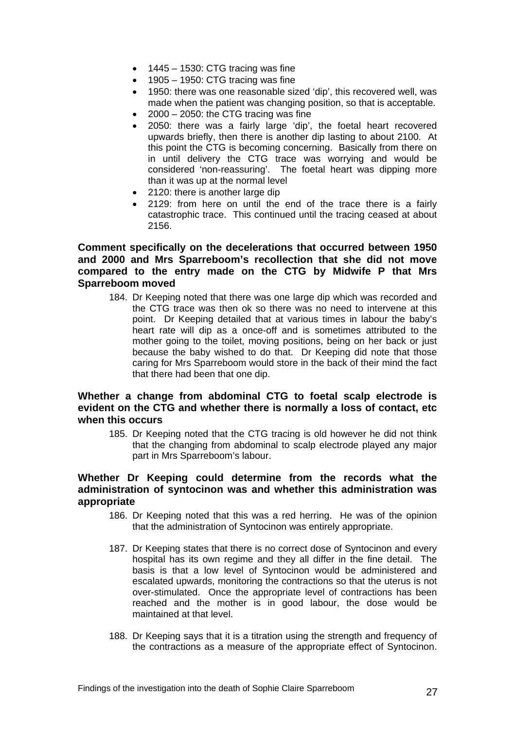- $\bullet$  1445 1530: CTG tracing was fine
- $\bullet$  1905 1950: CTG tracing was fine
- 1950: there was one reasonable sized 'dip', this recovered well, was made when the patient was changing position, so that is acceptable.
- 2000 2050: the CTG tracing was fine
- 2050: there was a fairly large 'dip', the foetal heart recovered upwards briefly, then there is another dip lasting to about 2100. At this point the CTG is becoming concerning. Basically from there on in until delivery the CTG trace was worrying and would be considered 'non-reassuring'. The foetal heart was dipping more than it was up at the normal level
- 2120: there is another large dip
- 2129: from here on until the end of the trace there is a fairly catastrophic trace. This continued until the tracing ceased at about 2156.

#### <span id="page-28-0"></span>**Comment specifically on the decelerations that occurred between 1950 and 2000 and Mrs Sparreboom's recollection that she did not move compared to the entry made on the CTG by Midwife P that Mrs Sparreboom moved**

184. Dr Keeping noted that there was one large dip which was recorded and the CTG trace was then ok so there was no need to intervene at this point. Dr Keeping detailed that at various times in labour the baby's heart rate will dip as a once-off and is sometimes attributed to the mother going to the toilet, moving positions, being on her back or just because the baby wished to do that. Dr Keeping did note that those caring for Mrs Sparreboom would store in the back of their mind the fact that there had been that one dip.

#### <span id="page-28-1"></span>**Whether a change from abdominal CTG to foetal scalp electrode is evident on the CTG and whether there is normally a loss of contact, etc when this occurs**

185. Dr Keeping noted that the CTG tracing is old however he did not think that the changing from abdominal to scalp electrode played any major part in Mrs Sparreboom's labour.

#### <span id="page-28-2"></span>**Whether Dr Keeping could determine from the records what the administration of syntocinon was and whether this administration was appropriate**

- 186. Dr Keeping noted that this was a red herring. He was of the opinion that the administration of Syntocinon was entirely appropriate.
- 187. Dr Keeping states that there is no correct dose of Syntocinon and every hospital has its own regime and they all differ in the fine detail. The basis is that a low level of Syntocinon would be administered and escalated upwards, monitoring the contractions so that the uterus is not over-stimulated. Once the appropriate level of contractions has been reached and the mother is in good labour, the dose would be maintained at that level.
- 188. Dr Keeping says that it is a titration using the strength and frequency of the contractions as a measure of the appropriate effect of Syntocinon.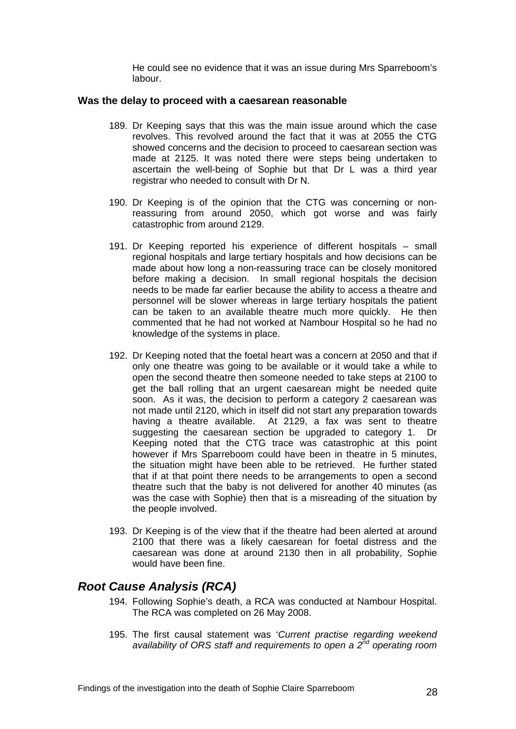He could see no evidence that it was an issue during Mrs Sparreboom's labour.

#### <span id="page-29-0"></span>**Was the delay to proceed with a caesarean reasonable**

- 189. Dr Keeping says that this was the main issue around which the case revolves. This revolved around the fact that it was at 2055 the CTG showed concerns and the decision to proceed to caesarean section was made at 2125. It was noted there were steps being undertaken to ascertain the well-being of Sophie but that Dr L was a third year registrar who needed to consult with Dr N.
- 190. Dr Keeping is of the opinion that the CTG was concerning or nonreassuring from around 2050, which got worse and was fairly catastrophic from around 2129.
- 191. Dr Keeping reported his experience of different hospitals small regional hospitals and large tertiary hospitals and how decisions can be made about how long a non-reassuring trace can be closely monitored before making a decision. In small regional hospitals the decision needs to be made far earlier because the ability to access a theatre and personnel will be slower whereas in large tertiary hospitals the patient can be taken to an available theatre much more quickly. He then commented that he had not worked at Nambour Hospital so he had no knowledge of the systems in place.
- 192. Dr Keeping noted that the foetal heart was a concern at 2050 and that if only one theatre was going to be available or it would take a while to open the second theatre then someone needed to take steps at 2100 to get the ball rolling that an urgent caesarean might be needed quite soon. As it was, the decision to perform a category 2 caesarean was not made until 2120, which in itself did not start any preparation towards having a theatre available. At 2129, a fax was sent to theatre suggesting the caesarean section be upgraded to category 1. Dr Keeping noted that the CTG trace was catastrophic at this point however if Mrs Sparreboom could have been in theatre in 5 minutes, the situation might have been able to be retrieved. He further stated that if at that point there needs to be arrangements to open a second theatre such that the baby is not delivered for another 40 minutes (as was the case with Sophie) then that is a misreading of the situation by the people involved.
- 193. Dr Keeping is of the view that if the theatre had been alerted at around 2100 that there was a likely caesarean for foetal distress and the caesarean was done at around 2130 then in all probability, Sophie would have been fine.

## <span id="page-29-1"></span>*Root Cause Analysis (RCA)*

- 194. Following Sophie's death, a RCA was conducted at Nambour Hospital. The RCA was completed on 26 May 2008.
- 195. The first causal statement was '*Current practise regarding weekend availability of ORS staff and requirements to open a 2nd operating room*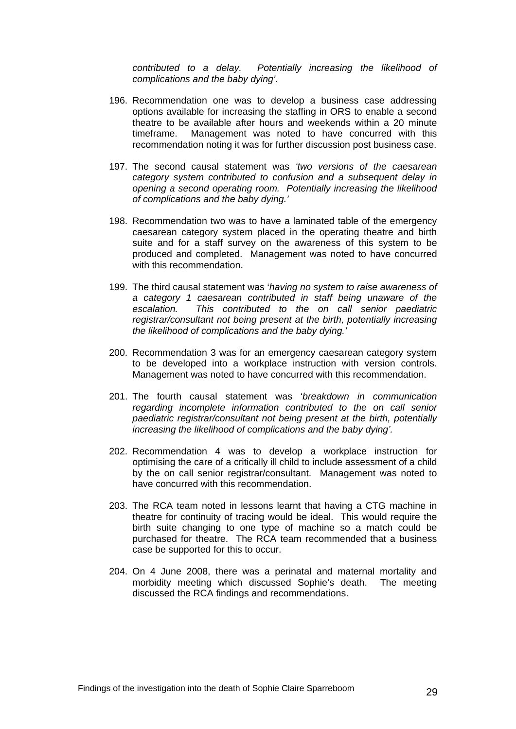*contributed to a delay. Potentially increasing the likelihood of complications and the baby dying'.* 

- 196. Recommendation one was to develop a business case addressing options available for increasing the staffing in ORS to enable a second theatre to be available after hours and weekends within a 20 minute timeframe. Management was noted to have concurred with this recommendation noting it was for further discussion post business case.
- 197. The second causal statement was *'two versions of the caesarean category system contributed to confusion and a subsequent delay in opening a second operating room. Potentially increasing the likelihood of complications and the baby dying.'*
- 198. Recommendation two was to have a laminated table of the emergency caesarean category system placed in the operating theatre and birth suite and for a staff survey on the awareness of this system to be produced and completed. Management was noted to have concurred with this recommendation.
- 199. The third causal statement was '*having no system to raise awareness of a category 1 caesarean contributed in staff being unaware of the escalation. This contributed to the on call senior paediatric registrar/consultant not being present at the birth, potentially increasing the likelihood of complications and the baby dying.'*
- 200. Recommendation 3 was for an emergency caesarean category system to be developed into a workplace instruction with version controls. Management was noted to have concurred with this recommendation.
- 201. The fourth causal statement was '*breakdown in communication regarding incomplete information contributed to the on call senior paediatric registrar/consultant not being present at the birth, potentially increasing the likelihood of complications and the baby dying'.*
- 202. Recommendation 4 was to develop a workplace instruction for optimising the care of a critically ill child to include assessment of a child by the on call senior registrar/consultant. Management was noted to have concurred with this recommendation.
- 203. The RCA team noted in lessons learnt that having a CTG machine in theatre for continuity of tracing would be ideal. This would require the birth suite changing to one type of machine so a match could be purchased for theatre. The RCA team recommended that a business case be supported for this to occur.
- 204. On 4 June 2008, there was a perinatal and maternal mortality and morbidity meeting which discussed Sophie's death. The meeting discussed the RCA findings and recommendations.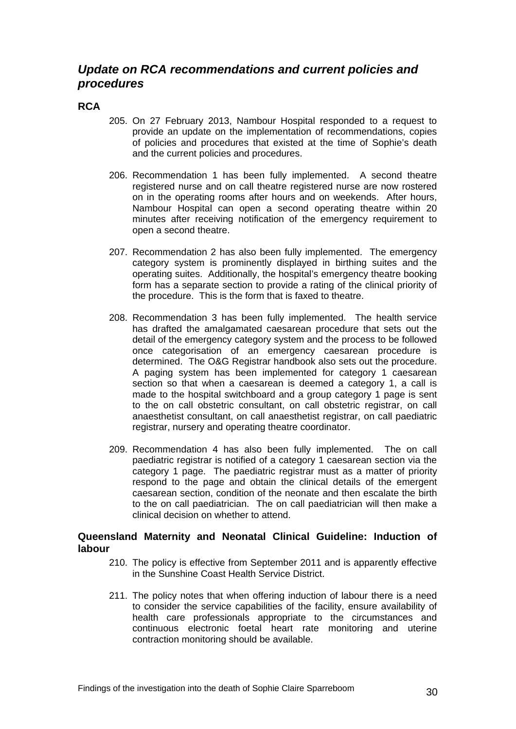## <span id="page-31-0"></span>*Update on RCA recommendations and current policies and procedures*

### <span id="page-31-1"></span>**RCA**

- 205. On 27 February 2013, Nambour Hospital responded to a request to provide an update on the implementation of recommendations, copies of policies and procedures that existed at the time of Sophie's death and the current policies and procedures.
- 206. Recommendation 1 has been fully implemented. A second theatre registered nurse and on call theatre registered nurse are now rostered on in the operating rooms after hours and on weekends. After hours, Nambour Hospital can open a second operating theatre within 20 minutes after receiving notification of the emergency requirement to open a second theatre.
- 207. Recommendation 2 has also been fully implemented. The emergency category system is prominently displayed in birthing suites and the operating suites. Additionally, the hospital's emergency theatre booking form has a separate section to provide a rating of the clinical priority of the procedure. This is the form that is faxed to theatre.
- 208. Recommendation 3 has been fully implemented. The health service has drafted the amalgamated caesarean procedure that sets out the detail of the emergency category system and the process to be followed once categorisation of an emergency caesarean procedure is determined. The O&G Registrar handbook also sets out the procedure. A paging system has been implemented for category 1 caesarean section so that when a caesarean is deemed a category 1, a call is made to the hospital switchboard and a group category 1 page is sent to the on call obstetric consultant, on call obstetric registrar, on call anaesthetist consultant, on call anaesthetist registrar, on call paediatric registrar, nursery and operating theatre coordinator.
- 209. Recommendation 4 has also been fully implemented. The on call paediatric registrar is notified of a category 1 caesarean section via the category 1 page. The paediatric registrar must as a matter of priority respond to the page and obtain the clinical details of the emergent caesarean section, condition of the neonate and then escalate the birth to the on call paediatrician. The on call paediatrician will then make a clinical decision on whether to attend.

#### <span id="page-31-2"></span>**Queensland Maternity and Neonatal Clinical Guideline: Induction of labour**

- 210. The policy is effective from September 2011 and is apparently effective in the Sunshine Coast Health Service District.
- 211. The policy notes that when offering induction of labour there is a need to consider the service capabilities of the facility, ensure availability of health care professionals appropriate to the circumstances and continuous electronic foetal heart rate monitoring and uterine contraction monitoring should be available.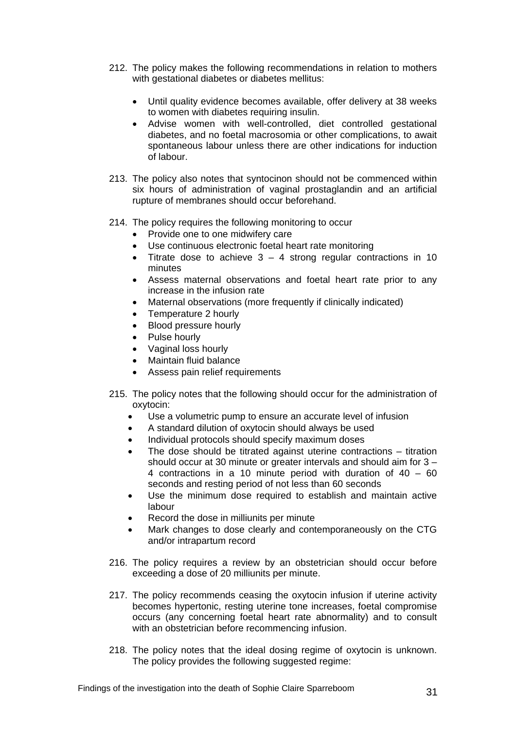- 212. The policy makes the following recommendations in relation to mothers with gestational diabetes or diabetes mellitus:
	- Until quality evidence becomes available, offer delivery at 38 weeks to women with diabetes requiring insulin.
	- Advise women with well-controlled, diet controlled gestational diabetes, and no foetal macrosomia or other complications, to await spontaneous labour unless there are other indications for induction of labour.
- 213. The policy also notes that syntocinon should not be commenced within six hours of administration of vaginal prostaglandin and an artificial rupture of membranes should occur beforehand.
- 214. The policy requires the following monitoring to occur
	- Provide one to one midwifery care
	- Use continuous electronic foetal heart rate monitoring
	- Titrate dose to achieve  $3 4$  strong regular contractions in 10 minutes
	- Assess maternal observations and foetal heart rate prior to any increase in the infusion rate
	- Maternal observations (more frequently if clinically indicated)
	- Temperature 2 hourly
	- Blood pressure hourly
	- Pulse hourly
	- Vaginal loss hourly
	- Maintain fluid balance
	- Assess pain relief requirements
- 215. The policy notes that the following should occur for the administration of oxytocin:
	- Use a volumetric pump to ensure an accurate level of infusion
	- A standard dilution of oxytocin should always be used
	- Individual protocols should specify maximum doses
	- The dose should be titrated against uterine contractions titration should occur at 30 minute or greater intervals and should aim for 3 – 4 contractions in a 10 minute period with duration of 40 – 60 seconds and resting period of not less than 60 seconds
	- Use the minimum dose required to establish and maintain active labour
	- Record the dose in milliunits per minute
	- Mark changes to dose clearly and contemporaneously on the CTG and/or intrapartum record
- 216. The policy requires a review by an obstetrician should occur before exceeding a dose of 20 milliunits per minute.
- 217. The policy recommends ceasing the oxytocin infusion if uterine activity becomes hypertonic, resting uterine tone increases, foetal compromise occurs (any concerning foetal heart rate abnormality) and to consult with an obstetrician before recommencing infusion.
- 218. The policy notes that the ideal dosing regime of oxytocin is unknown. The policy provides the following suggested regime: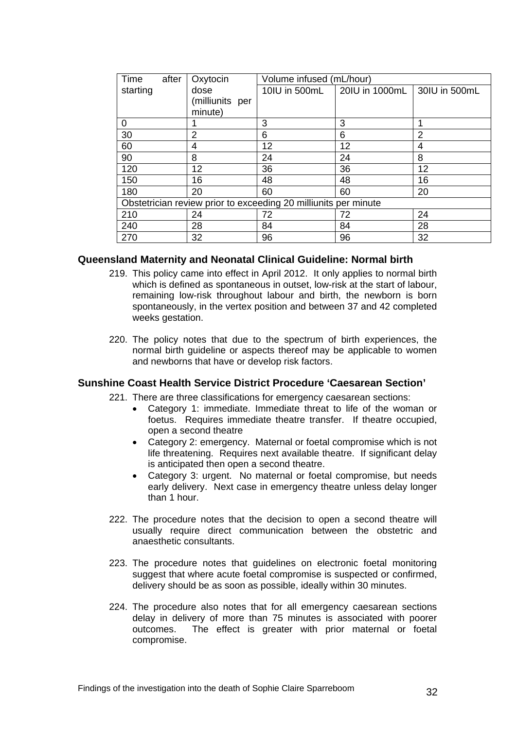| after<br>Time                                                   | Oxytocin                | Volume infused (mL/hour) |                |               |
|-----------------------------------------------------------------|-------------------------|--------------------------|----------------|---------------|
| starting                                                        | dose<br>(milliunits per | 10IU in 500mL            | 20IU in 1000mL | 30IU in 500mL |
|                                                                 | minute)                 |                          |                |               |
| $\Omega$                                                        |                         | 3                        | 3              |               |
| 30                                                              | 2                       | 6                        | 6              | 2             |
| 60                                                              | 4                       | 12                       | 12             | 4             |
| 90                                                              | 8                       | 24                       | 24             | 8             |
| 120                                                             | 12                      | 36                       | 36             | 12            |
| 150                                                             | 16                      | 48                       | 48             | 16            |
| 180                                                             | 20                      | 60                       | 60             | 20            |
| Obstetrician review prior to exceeding 20 milliunits per minute |                         |                          |                |               |
| 210                                                             | 24                      | 72                       | 72             | 24            |
| 240                                                             | 28                      | 84                       | 84             | 28            |
| 270                                                             | 32                      | 96                       | 96             | 32            |

#### <span id="page-33-0"></span>**Queensland Maternity and Neonatal Clinical Guideline: Normal birth**

- 219. This policy came into effect in April 2012. It only applies to normal birth which is defined as spontaneous in outset, low-risk at the start of labour, remaining low-risk throughout labour and birth, the newborn is born spontaneously, in the vertex position and between 37 and 42 completed weeks gestation.
- 220. The policy notes that due to the spectrum of birth experiences, the normal birth guideline or aspects thereof may be applicable to women and newborns that have or develop risk factors.

#### <span id="page-33-1"></span>**Sunshine Coast Health Service District Procedure 'Caesarean Section'**

221. There are three classifications for emergency caesarean sections:

- Category 1: immediate. Immediate threat to life of the woman or foetus. Requires immediate theatre transfer. If theatre occupied, open a second theatre
- Category 2: emergency. Maternal or foetal compromise which is not life threatening. Requires next available theatre. If significant delay is anticipated then open a second theatre.
- Category 3: urgent. No maternal or foetal compromise, but needs early delivery. Next case in emergency theatre unless delay longer than 1 hour.
- 222. The procedure notes that the decision to open a second theatre will usually require direct communication between the obstetric and anaesthetic consultants.
- 223. The procedure notes that guidelines on electronic foetal monitoring suggest that where acute foetal compromise is suspected or confirmed, delivery should be as soon as possible, ideally within 30 minutes.
- 224. The procedure also notes that for all emergency caesarean sections delay in delivery of more than 75 minutes is associated with poorer outcomes. The effect is greater with prior maternal or foetal compromise.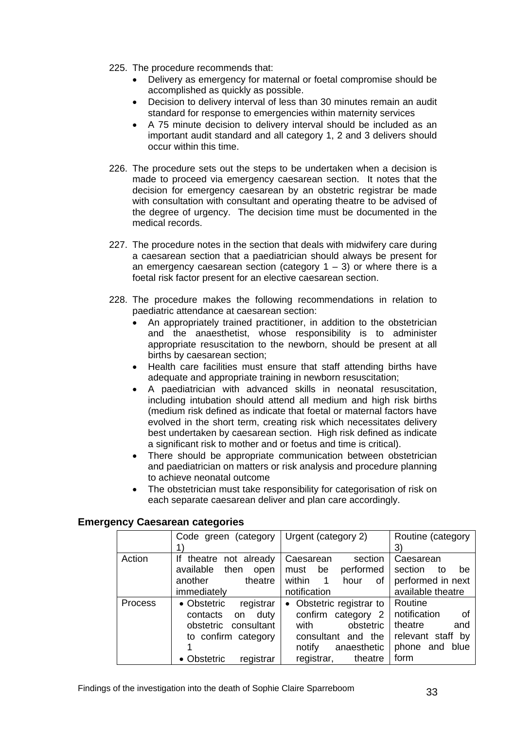- 225. The procedure recommends that:
	- Delivery as emergency for maternal or foetal compromise should be accomplished as quickly as possible.
	- Decision to delivery interval of less than 30 minutes remain an audit standard for response to emergencies within maternity services
	- A 75 minute decision to delivery interval should be included as an important audit standard and all category 1, 2 and 3 delivers should occur within this time.
- 226. The procedure sets out the steps to be undertaken when a decision is made to proceed via emergency caesarean section. It notes that the decision for emergency caesarean by an obstetric registrar be made with consultation with consultant and operating theatre to be advised of the degree of urgency. The decision time must be documented in the medical records.
- 227. The procedure notes in the section that deals with midwifery care during a caesarean section that a paediatrician should always be present for an emergency caesarean section (category  $1 - 3$ ) or where there is a foetal risk factor present for an elective caesarean section.
- 228. The procedure makes the following recommendations in relation to paediatric attendance at caesarean section:
	- An appropriately trained practitioner, in addition to the obstetrician and the anaesthetist, whose responsibility is to administer appropriate resuscitation to the newborn, should be present at all births by caesarean section;
	- Health care facilities must ensure that staff attending births have adequate and appropriate training in newborn resuscitation;
	- A paediatrician with advanced skills in neonatal resuscitation, including intubation should attend all medium and high risk births (medium risk defined as indicate that foetal or maternal factors have evolved in the short term, creating risk which necessitates delivery best undertaken by caesarean section. High risk defined as indicate a significant risk to mother and or foetus and time is critical).
	- There should be appropriate communication between obstetrician and paediatrician on matters or risk analysis and procedure planning to achieve neonatal outcome
	- The obstetrician must take responsibility for categorisation of risk on each separate caesarean deliver and plan care accordingly.

#### <span id="page-34-0"></span>**Emergency Caesarean categories**

|         | Code green (category                                                                                                             | Urgent (category 2)                                                                                                                                    | Routine (category<br>3)                                                                          |
|---------|----------------------------------------------------------------------------------------------------------------------------------|--------------------------------------------------------------------------------------------------------------------------------------------------------|--------------------------------------------------------------------------------------------------|
| Action  | theatre not already<br>lf<br>available<br>then<br>open<br>theatre<br>another<br>immediately                                      | Caesarean<br>section<br>performed<br>be<br>must<br>within<br>hour<br>$\overline{1}$<br>of<br>notification                                              | Caesarean<br>section<br>to<br>be<br>performed in next<br>available theatre                       |
| Process | registrar<br>• Obstetric<br>duty<br>contacts<br>on<br>consultant<br>obstetric<br>to confirm category<br>• Obstetric<br>registrar | Obstetric registrar to<br>$\bullet$<br>confirm category 2<br>obstetric<br>with<br>consultant and the<br>anaesthetic<br>notify<br>registrar,<br>theatre | Routine<br>notification<br>- of<br>theatre<br>and<br>relevant staff by<br>phone and blue<br>form |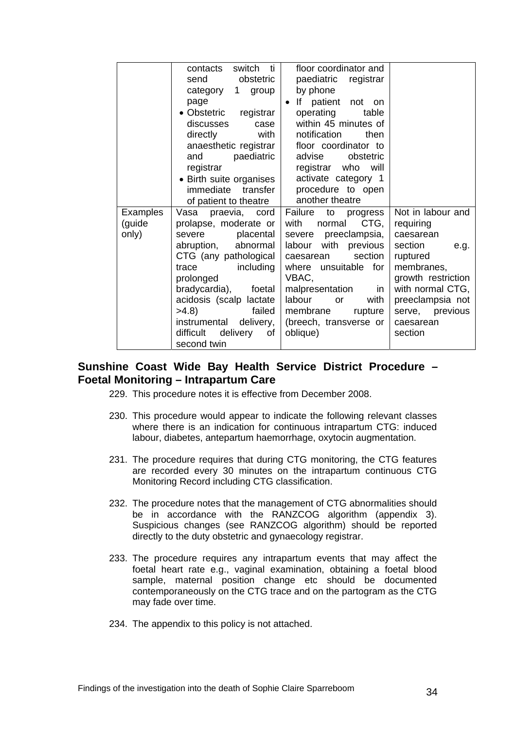|          | switch ti<br>contacts<br>send<br>obstetric | floor coordinator and<br>paediatric registrar |                                        |
|----------|--------------------------------------------|-----------------------------------------------|----------------------------------------|
|          | category 1 group                           | by phone                                      |                                        |
|          | page                                       | patient not on<br>lf<br>$\bullet$             |                                        |
|          | • Obstetric registrar                      | operating<br>table                            |                                        |
|          | discusses<br>case                          | within 45 minutes of                          |                                        |
|          | directly<br>with                           | notification<br>then                          |                                        |
|          | anaesthetic registrar                      | floor coordinator to                          |                                        |
|          | and<br>paediatric                          | advise<br>obstetric                           |                                        |
|          | registrar                                  | registrar who will                            |                                        |
|          | • Birth suite organises                    | activate category 1                           |                                        |
|          | immediate transfer                         | procedure to open                             |                                        |
|          | of patient to theatre                      | another theatre                               |                                        |
| Examples | Vasa<br>praevia, cord                      | Failure to progress                           | Not in labour and                      |
| (guide   | prolapse, moderate or                      | CTG,<br>with<br>normal                        | requiring                              |
| only)    | severe<br>placental                        | severe preeclampsia,                          | caesarean                              |
|          | abruption,<br>abnormal                     | labour with<br>previous                       | section<br>e.g.                        |
|          | CTG (any pathological                      | section<br>caesarean                          | ruptured                               |
|          | including<br>trace                         | where unsuitable for                          | membranes,                             |
|          | prolonged<br>bradycardia),<br>foetal       | VBAC,<br>malpresentation<br>in                | growth restriction<br>with normal CTG, |
|          | acidosis (scalp lactate                    | labour<br>with<br><b>or</b>                   | preeclampsia not                       |
|          | >4.8<br>failed                             | membrane<br>rupture                           | serve, previous                        |
|          | delivery,<br>instrumental                  | (breech, transverse or                        | caesarean                              |
|          | difficult<br>delivery<br>of                | oblique)                                      | section                                |
|          | second twin                                |                                               |                                        |
|          |                                            |                                               |                                        |

## **Sunshine Coast Wide Bay Health Service District Procedure – Foetal Monitoring – Intrapartum Care**

- 229. This procedure notes it is effective from December 2008.
- 230. This procedure would appear to indicate the following relevant classes where there is an indication for continuous intrapartum CTG: induced labour, diabetes, antepartum haemorrhage, oxytocin augmentation.
- 231. The procedure requires that during CTG monitoring, the CTG features are recorded every 30 minutes on the intrapartum continuous CTG Monitoring Record including CTG classification.
- 232. The procedure notes that the management of CTG abnormalities should be in accordance with the RANZCOG algorithm (appendix 3). Suspicious changes (see RANZCOG algorithm) should be reported directly to the duty obstetric and gynaecology registrar.
- 233. The procedure requires any intrapartum events that may affect the foetal heart rate e.g., vaginal examination, obtaining a foetal blood sample, maternal position change etc should be documented contemporaneously on the CTG trace and on the partogram as the CTG may fade over time.
- 234. The appendix to this policy is not attached.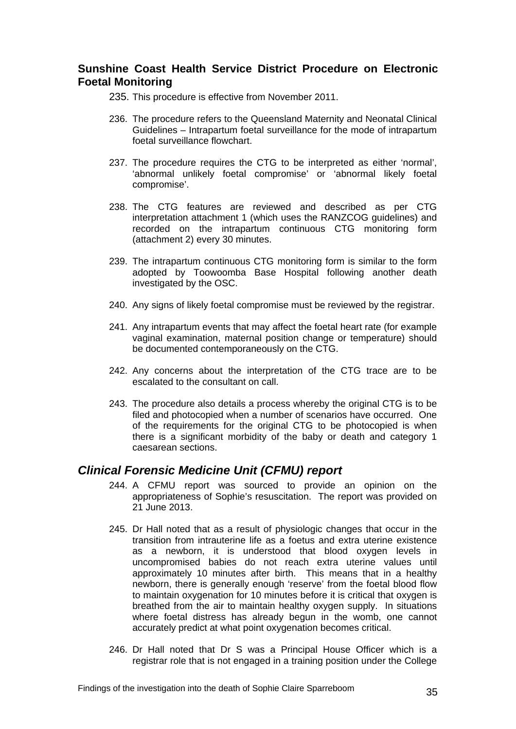## **Sunshine Coast Health Service District Procedure on Electronic Foetal Monitoring**

- 235. This procedure is effective from November 2011.
- 236. The procedure refers to the Queensland Maternity and Neonatal Clinical Guidelines – Intrapartum foetal surveillance for the mode of intrapartum foetal surveillance flowchart.
- 237. The procedure requires the CTG to be interpreted as either 'normal', 'abnormal unlikely foetal compromise' or 'abnormal likely foetal compromise'.
- 238. The CTG features are reviewed and described as per CTG interpretation attachment 1 (which uses the RANZCOG guidelines) and recorded on the intrapartum continuous CTG monitoring form (attachment 2) every 30 minutes.
- 239. The intrapartum continuous CTG monitoring form is similar to the form adopted by Toowoomba Base Hospital following another death investigated by the OSC.
- 240. Any signs of likely foetal compromise must be reviewed by the registrar.
- 241. Any intrapartum events that may affect the foetal heart rate (for example vaginal examination, maternal position change or temperature) should be documented contemporaneously on the CTG.
- 242. Any concerns about the interpretation of the CTG trace are to be escalated to the consultant on call.
- 243. The procedure also details a process whereby the original CTG is to be filed and photocopied when a number of scenarios have occurred. One of the requirements for the original CTG to be photocopied is when there is a significant morbidity of the baby or death and category 1 caesarean sections.

## <span id="page-36-0"></span>*Clinical Forensic Medicine Unit (CFMU) report*

- 244. A CFMU report was sourced to provide an opinion on the appropriateness of Sophie's resuscitation. The report was provided on 21 June 2013.
- 245. Dr Hall noted that as a result of physiologic changes that occur in the transition from intrauterine life as a foetus and extra uterine existence as a newborn, it is understood that blood oxygen levels in uncompromised babies do not reach extra uterine values until approximately 10 minutes after birth. This means that in a healthy newborn, there is generally enough 'reserve' from the foetal blood flow to maintain oxygenation for 10 minutes before it is critical that oxygen is breathed from the air to maintain healthy oxygen supply. In situations where foetal distress has already begun in the womb, one cannot accurately predict at what point oxygenation becomes critical.
- 246. Dr Hall noted that Dr S was a Principal House Officer which is a registrar role that is not engaged in a training position under the College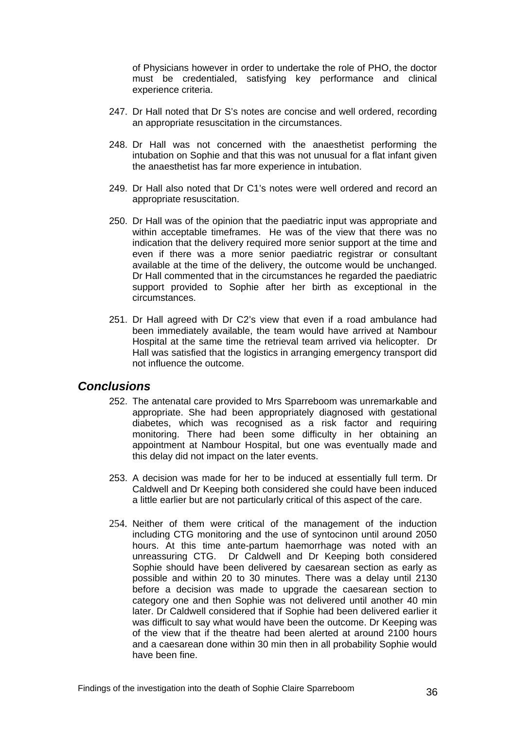of Physicians however in order to undertake the role of PHO, the doctor must be credentialed, satisfying key performance and clinical experience criteria.

- 247. Dr Hall noted that Dr S's notes are concise and well ordered, recording an appropriate resuscitation in the circumstances.
- 248. Dr Hall was not concerned with the anaesthetist performing the intubation on Sophie and that this was not unusual for a flat infant given the anaesthetist has far more experience in intubation.
- 249. Dr Hall also noted that Dr C1's notes were well ordered and record an appropriate resuscitation.
- 250. Dr Hall was of the opinion that the paediatric input was appropriate and within acceptable timeframes. He was of the view that there was no indication that the delivery required more senior support at the time and even if there was a more senior paediatric registrar or consultant available at the time of the delivery, the outcome would be unchanged. Dr Hall commented that in the circumstances he regarded the paediatric support provided to Sophie after her birth as exceptional in the circumstances.
- 251. Dr Hall agreed with Dr C2's view that even if a road ambulance had been immediately available, the team would have arrived at Nambour Hospital at the same time the retrieval team arrived via helicopter. Dr Hall was satisfied that the logistics in arranging emergency transport did not influence the outcome.

### <span id="page-37-0"></span>*Conclusions*

- 252. The antenatal care provided to Mrs Sparreboom was unremarkable and appropriate. She had been appropriately diagnosed with gestational diabetes, which was recognised as a risk factor and requiring monitoring. There had been some difficulty in her obtaining an appointment at Nambour Hospital, but one was eventually made and this delay did not impact on the later events.
- 253. A decision was made for her to be induced at essentially full term. Dr Caldwell and Dr Keeping both considered she could have been induced a little earlier but are not particularly critical of this aspect of the care.
- 254. Neither of them were critical of the management of the induction including CTG monitoring and the use of syntocinon until around 2050 hours. At this time ante-partum haemorrhage was noted with an unreassuring CTG. Dr Caldwell and Dr Keeping both considered Sophie should have been delivered by caesarean section as early as possible and within 20 to 30 minutes. There was a delay until 2130 before a decision was made to upgrade the caesarean section to category one and then Sophie was not delivered until another 40 min later. Dr Caldwell considered that if Sophie had been delivered earlier it was difficult to say what would have been the outcome. Dr Keeping was of the view that if the theatre had been alerted at around 2100 hours and a caesarean done within 30 min then in all probability Sophie would have been fine.